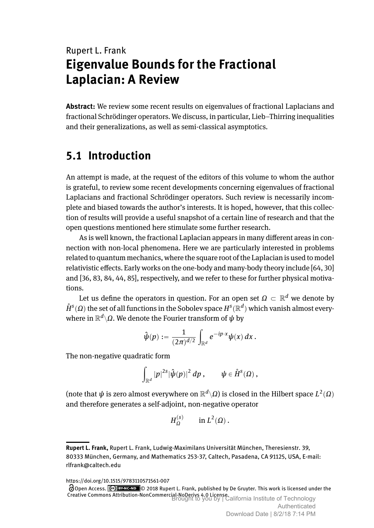# Rupert L. Frank **Eigenvalue Bounds for the Fractional Laplacian: A Review**

**Abstract:** We review some recent results on eigenvalues of fractional Laplacians and fractional Schrödinger operators. We discuss, in particular, Lieb–Thirring inequalities and their generalizations, as well as semi-classical asymptotics.

## **5.1 Introduction**

An attempt is made, at the request of the editors of this volume to whom the author is grateful, to review some recent developments concerning eigenvalues of fractional Laplacians and fractional Schrödinger operators. Such review is necessarily incomplete and biased towards the author's interests. It is hoped, however, that this collection of results will provide a useful snapshot of a certain line of research and that the open questions mentioned here stimulate some further research.

As is well known, the fractional Laplacian appears in many different areas in connection with non-local phenomena. Here we are particularly interested in problems related to quantum mechanics, where the square root of the Laplacian is used to model relativistic effects. Early works on the one-body and many-body theory include [\[64,](#page-23-0) [30\]](#page-21-0) and [\[36,](#page-22-0) [83,](#page-24-0) [84,](#page-24-1) [44,](#page-22-1) [85\]](#page-24-2), respectively, and we refer to these for further physical motivations.

Let us define the operators in question. For an open set  $\varOmega \, \subset \, \mathbb{R}^d$  we denote by  $\mathring{H}^{s}(\Omega)$  the set of all functions in the Sobolev space  $H^{s}(\mathbb{R}^{d})$  which vanish almost everywhere in R *d* z*Ω*. We denote the Fourier transform of *ψ* by

$$
\hat{\psi}(p):=\frac{1}{(2\pi)^{d/2}}\int_{\mathbb{R}^d} e^{-ip\cdot x}\psi(x)\,dx\,.
$$

The non-negative quadratic form

$$
\int_{\mathbb{R}^d} |p|^{2s} |\hat{\psi}(p)|^2 \, dp \,, \qquad \psi \in \mathring{H}^s(\Omega) \,,
$$

(note that  $\psi$  is zero almost everywhere on  $\mathbb{R}^d\backslash\Omega$ ) is closed in the Hilbert space  $L^2(\Omega)$ and therefore generates a self-adjoint, non-negative operator

$$
H_{\Omega}^{(s)} \qquad \text{in } L^2(\Omega)\,.
$$

https://doi.org/10.1515/9783110571561-007

Open Access. © 2018 Rupert L. Frank, published by De Gruyter. This work is licensed under the Creative Commons Attribution-NonCommercial-NoDerivs 4.0 License. Brought to you by | California Institute of Technology

**Rupert L. Frank,** Rupert L. Frank, Ludwig-Maximilans Universität München, Theresienstr. 39, 80333 München, Germany, and Mathematics 253-37, Caltech, Pasadena, CA 91125, USA, E-mail: rlfrank@caltech.edu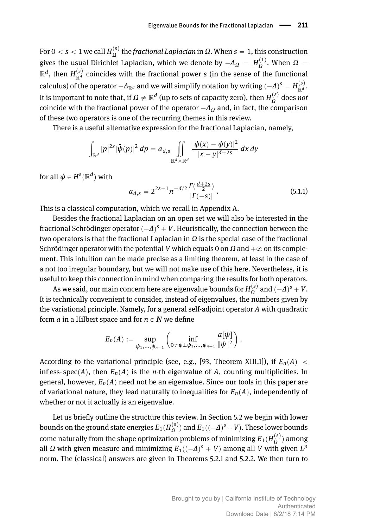*F* or 0 < *s* < 1 we call  $H_{\Omega}^{(s)}$  the *fractional Laplacian* in *Ω*. When *s* = 1, this construction gives the usual Dirichlet Laplacian, which we denote by  $-\Delta_{\Omega} = H_{\Omega}^{(1)}$ . When  $\Omega =$  $\mathbb{R}^d$ , then  $H_{\mathbb{R}^d}^{(s)}$  coincides with the fractional power  $s$  (in the sense of the functional calculus) of the operator  $-A_{\mathbb{R}^d}$  and we will simplify notation by writing  $(-\Delta)^s = H_{\mathbb{R}^d}^{(s)}$ . It is important to note that, if  $\Omega \neq \mathbb{R}^d$  (up to sets of capacity zero), then  $H_{\Omega}^{(s)}$  does *not* coincide with the fractional power of the operator  $-\Delta$ <sup>*Q*</sup> and, in fact, the comparison of these two operators is one of the recurring themes in this review.

There is a useful alternative expression for the fractional Laplacian, namely,

$$
\int_{\mathbb{R}^d} |p|^{2s} |\hat{\psi}(p)|^2 \, dp = a_{d,s} \iint_{\mathbb{R}^d \times \mathbb{R}^d} \frac{|\psi(x) - \psi(y)|^2}{|x - y|^{d + 2s}} \, dx \, dy
$$

for all  $\pmb{\psi} \in H^{\mathcal{\textbf{s}}}(\mathbb{R}^d)$  with

<span id="page-1-0"></span>
$$
a_{d,s} = 2^{2s-1} \pi^{-d/2} \frac{\Gamma(\frac{d+2s}{2})}{|\Gamma(-s)|}.
$$
\n(5.1.1)

This is a classical computation, which we recall in Appendix [A.](#page--1-0)

Besides the fractional Laplacian on an open set we will also be interested in the fractional Schrödinger operator  $(-\Delta)^s + V$ . Heuristically, the connection between the two operators is that the fractional Laplacian in *Ω* is the special case of the fractional Schrödinger operator with the potential *V* which equals 0 on  $\Omega$  and  $+\infty$  on its complement. This intuition can be made precise as a limiting theorem, at least in the case of a not too irregular boundary, but we will not make use of this here. Nevertheless, it is useful to keep this connection in mind when comparing the results for both operators.

As we said, our main concern here are eigenvalue bounds for  $H^{(s)}_{\Omega}$  and  $(-\Delta)^s + V$ . It is technically convenient to consider, instead of eigenvalues, the numbers given by the variational principle. Namely, for a general self-adjoint operator *A* with quadratic form *a* in a Hilbert space and for  $n \in \mathbb{N}$  we define

$$
E_n(A) := \sup_{\psi_1,\ldots,\psi_{n-1}} \left( \inf_{0 \neq \psi \perp \psi_1,\ldots,\psi_{n-1}} \frac{a[\psi]}{\|\psi\|^2} \right).
$$

ˆ

According to the variational principle (see, e.g., [\[93,](#page-25-0) Theorem XIII.1]), if  $E_n(A)$ inf ess- spec $(A)$ , then  $E_n(A)$  is the *n*-th eigenvalue of *A*, counting multiplicities. In general, however,  $E_n(A)$  need not be an eigenvalue. Since our tools in this paper are of variational nature, they lead naturally to inequalities for  $E_n(A)$ , independently of whether or not it actually is an eigenvalue.

Let us briefly outline the structure this review. In Section [5.2](#page-2-0) we begin with lower bounds on the ground state energies  $E_1(H_{\Omega}^{(s)})$  and  $E_1((-\varDelta)^s + V)$ . These lower bounds come naturally from the shape optimization problems of minimizing  $E_1(H_{\Omega}^{(s)})$  among all  $\Omega$  with given measure and minimizing  $E_1((-\Delta)^s + V)$  among all  $V$  with given  $L^p$ norm. The (classical) answers are given in Theorems [5.2.1](#page-2-1) and [5.2.2.](#page-3-0) We then turn to

˙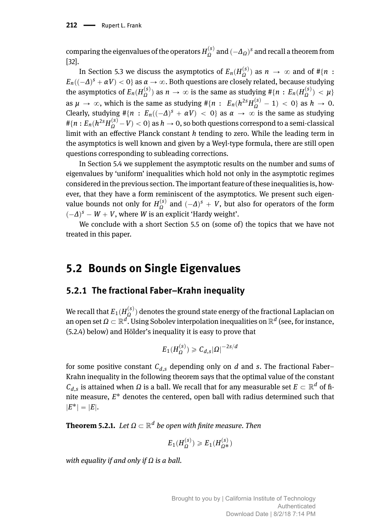$\alpha$  comparing the eigenvalues of the operators  $H^{(s)}_{\Omega}$  and  $(-\Delta_{\Omega})^s$  and recall a theorem from [\[32\]](#page-21-1).

In Section 5.3 we discuss the asymptotics of  $E_n(H_{\Omega}^{(s)})$  as  $n \to \infty$  and of  $\# \{n\}$ :  $E_n((-\Delta)^s + \alpha V) < 0$ } as  $\alpha \to \infty.$  Both questions are closely related, because studying the asymptotics of  $E_n(H_{\Omega}^{(s)})$  as  $n \to \infty$  is the same as studying  $\# \{n\,:\, E_n(H_{\Omega}^{(s)}) < \mu\}$ as  $\mu \to \infty$ , which is the same as studying  $\# \{n : E_n(h^{2s}H_{\Omega}^{(s)} - 1) < 0\}$  as  $h \to 0$ . Clearly, studying  $\#\{n : E_n((-\Delta)^s + \alpha V) \leq 0\}$  as  $\alpha \to \infty$  is the same as studying  $\# \{ n : E_n (h^{2s} H_{\Omega}^{(s)} - V) < 0 \}$  as  $h \to 0,$  so both questions correspond to a semi-classical limit with an effective Planck constant *h* tending to zero. While the leading term in the asymptotics is well known and given by a Weyl-type formula, there are still open questions corresponding to subleading corrections.

In Section [5.4](#page-10-0) we supplement the asymptotic results on the number and sums of eigenvalues by 'uniform' inequalities which hold not only in the asymptotic regimes considered in the previous section. The important feature of these inequalities is, however, that they have a form reminiscent of the asymptotics. We present such eigenvalue bounds not only for  $H_{\Omega}^{(s)}$  and  $(-\Delta)^s + V$ , but also for operators of the form  $(-\Delta)^s - W + V$ , where *W* is an explicit 'Hardy weight'.

We conclude with a short Section [5.5](#page-15-0) on (some of) the topics that we have not treated in this paper.

## <span id="page-2-0"></span>**5.2 Bounds on Single Eigenvalues**

#### **5.2.1 The fractional Faber–Krahn inequality**

We recall that  $E_1(H_{\Omega}^{(s)})$  denotes the ground state energy of the fractional Laplacian on an open set  $\varOmega \subset \mathbb{R}^d.$  Using Sobolev interpolation inequalities on  $\mathbb{R}^d$  (see, for instance, [\(5.2.4\)](#page-4-0) below) and Hölder's inequality it is easy to prove that

$$
E_1(H_{\Omega}^{(s)})\geq C_{d,s}|\Omega|^{-2s/d}
$$

for some positive constant  $C_{d,s}$  depending only on  $d$  and  $s$ . The fractional Faber– Krahn inequality in the following theorem says that the optimal value of the constant  $\mathcal{C}_{d,s}$  is attained when  $\varOmega$  is a ball. We recall that for any measurable set  $E\subset\mathbb{R}^d$  of finite measure, *E* ˚ denotes the centered, open ball with radius determined such that  $|E^*| = |E|.$ 

<span id="page-2-1"></span> ${\bf Theorem~5.2.1.}$   $\ Let\ \Omega\subset \mathbb{R}^d$  be open with finite measure. Then

$$
E_1(H_{\Omega}^{(s)})\geqslant E_1(H_{\Omega^*}^{(s)})
$$

*with equality if and only if Ω is a ball.*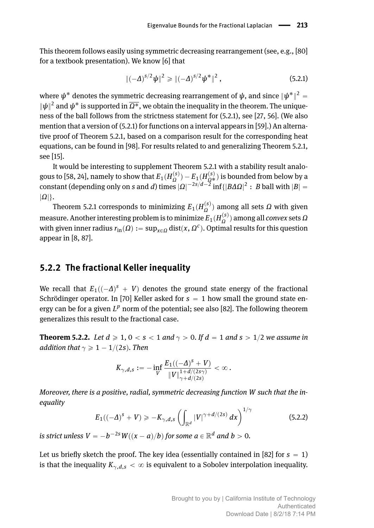This theorem follows easily using symmetric decreasing rearrangement (see, e.g., [\[80\]](#page-24-3) for a textbook presentation). We know [\[6\]](#page-20-0) that

<span id="page-3-1"></span>
$$
\|(-\Delta)^{s/2}\psi\|^2 \geqslant \|(-\Delta)^{s/2}\psi^*\|^2 , \qquad (5.2.1)
$$

where  $\bm{\psi}^*$  denotes the symmetric decreasing rearrangement of  $\bm{\psi},$  and since  $\|\bm{\psi}^*\|^2 =$  $\|\psi\|^2$  and  $\psi^*$  is supported in  $\overline{\Omega^*}$ , we obtain the inequality in the theorem. The uniqueness of the ball follows from the strictness statement for [\(5.2.1\)](#page-3-1), see [\[27,](#page-21-2) [56\]](#page-23-1). (We also mention that a version of [\(5.2.1\)](#page-3-1) for functions on a interval appears in [\[59\]](#page-23-2).) An alternative proof of Theorem [5.2.1,](#page-2-1) based on a comparison result for the corresponding heat equations, can be found in [\[98\]](#page-25-1). For results related to and generalizing Theorem [5.2.1,](#page-2-1) see [\[15\]](#page-21-3).

It would be interesting to supplement Theorem [5.2.1](#page-2-1) with a stability result analo-gous to [\[58,](#page-23-3) [24\]](#page-21-4), namely to show that  $E_1(H_{\Omega}^{(s)})-E_1(H_{\Omega^*}^{(s)})$  is bounded from below by a constant (depending only on *s* and *d*) times  $| \Omega |^{-2s/d - \overline{2}}$  inf $\{ | B \Delta \Omega |^2 : B$  ball with  $| B | =$  $|\Omega|\}.$ 

Theorem [5.2.1](#page-2-1) corresponds to minimizing  $E_1(H_Ω^{(s)})$  among all sets *Ω* with given measure. Another interesting problem is to minimize  $E_1(H_{\Omega}^{(s)})$  among all *convex* sets  $Ω$ with given inner radius  $r_{\text{in}}(\Omega) := \sup_{x \in \Omega} \text{dist}(x, \Omega^c)$ . Optimal results for this question appear in [\[8,](#page-20-1) [87\]](#page-24-4).

#### **5.2.2 The fractional Keller inequality**

We recall that  $E_1((-\Delta)^5 + V)$  denotes the ground state energy of the fractional Schrödinger operator. In [\[70\]](#page-24-5) Keller asked for  $s = 1$  how small the ground state energy can be for a given  $L^p$  norm of the potential; see also [\[82\]](#page-24-6). The following theorem generalizes this result to the fractional case.

<span id="page-3-0"></span>**Theorem 5.2.2.** Let  $d \ge 1$ ,  $0 < s < 1$  and  $\gamma > 0$ . If  $d = 1$  and  $s > 1/2$  we assume in *addition that*  $\gamma \geq 1 - 1/(2s)$ *. Then* 

$$
K_{\gamma,d,s}:=-\inf_{V}\frac{E_1((-\Delta)^s+V)}{\|V\|_{\gamma+d/(2s\gamma)}^{1+d/(2s\gamma)}}<\infty\,.
$$

*Moreover, there is a positive, radial, symmetric decreasing function W such that the inequality*

<span id="page-3-2"></span>
$$
E_1((-\Delta)^s + V) \ge -K_{\gamma,d,s} \left( \int_{\mathbb{R}^d} |V|^{\gamma + d/(2s)} dx \right)^{1/\gamma}
$$
 (5.2.2)

 $i$ *s strict unless*  $V = -b^{-2s}W((x-a)/b)$  *for some*  $a \in \mathbb{R}^d$  *and*  $b > 0$ *.* 

Let us briefly sketch the proof. The key idea (essentially contained in [\[82\]](#page-24-6) for  $s = 1$ ) is that the inequality  $K_{\gamma,d,s} < \infty$  is equivalent to a Sobolev interpolation inequality.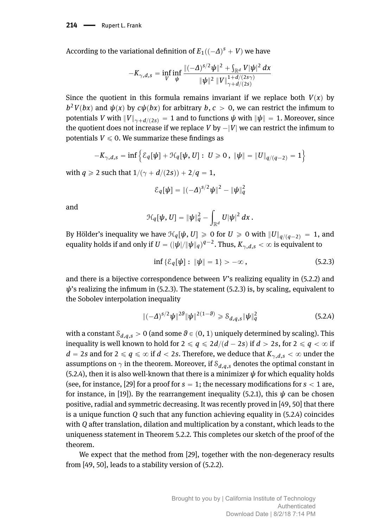According to the variational definition of  $E_1((-\Delta)^s + V)$  we have

$$
-K_{\gamma,d,s} = \inf_{V} \inf_{\psi} \frac{\|(-\Delta)^{s/2} \psi\|^2 + \int_{\mathbb{R}^d} V |\psi|^2 dx}{\|\psi\|^2 \|V\|_{\gamma+d/(2s)}^{1+d/(2s\gamma)}}
$$

Since the quotient in this formula remains invariant if we replace both  $V(x)$  by  $b^2V(bx)$  and  $\psi(x)$  by  $c\psi(bx)$  for arbitrary  $b, c > 0$ , we can restrict the infimum to potentials *V* with  $||V||_{\gamma+d/(2s)} = 1$  and to functions  $\psi$  with  $||\psi|| = 1$ . Moreover, since the quotient does not increase if we replace *V* by  $-|V|$  we can restrict the infimum to potentials  $V \leq 0$ . We summarize these findings as

$$
-K_{\gamma,d,s} = \inf \Big\{ \mathcal{E}_q[\psi] + \mathcal{H}_q[\psi,U]: U \geq 0 \,,\ \| \psi \| = \| U \|_{q/(q-2)} = 1 \Big\}
$$

with *q*  $\ge$  2 such that  $1/(\gamma + d/(2s)) + 2/q = 1$ ,

$$
\mathcal{E}_q[\psi] = \|(-\Delta)^{s/2}\psi\|^2 - \|\psi\|_q^2
$$

and

$$
\mathcal{H}_q[\psi,U]=\|\psi\|_q^2-\int_{\mathbb{R}^d}U|\psi|^2\,dx\,.
$$

By Hölder's inequality we have  $\mathcal{H}_q[\psi, U] \geq 0$  for  $U \geq 0$  with  $||U||_{q/(q-2)} = 1$ , and equality holds if and only if  $U = (|\dot{\psi}|/|\psi|_q)^{q-2}$ . Thus,  $K_{\gamma,d,s} < \infty$  is equivalent to

<span id="page-4-1"></span>
$$
\inf \{ \mathcal{E}_q[\psi] : \|\psi\| = 1 \} > -\infty , \qquad (5.2.3)
$$

and there is a bijective correspondence between *V*'s realizing equality in [\(5.2.2\)](#page-3-2) and  $ψ$ 's realizing the infimum in [\(5.2.3\)](#page-4-1). The statement (5.2.3) is, by scaling, equivalent to the Sobolev interpolation inequality

<span id="page-4-0"></span>
$$
\|(-\Delta)^{s/2}\psi\|^{2\theta}\|\psi\|^{2(1-\theta)} \geq \mathcal{S}_{d,q,s}\|\psi\|_{q}^2
$$
\n(5.2.4)

with a constant  $\mathcal{S}_{d,q,s} > 0$  (and some  $\theta \in (0, 1)$  uniquely determined by scaling). This inequality is well known to hold for  $2 \le q \le 2d/(d - 2s)$  if  $d > 2s$ , for  $2 \le q \le \infty$  if  $d = 2s$  and for  $2 \le q \le \infty$  if  $d < 2s$ . Therefore, we deduce that  $K_{\gamma,d,s} < \infty$  under the assumptions on  $\gamma$  in the theorem. Moreover, if  $\mathcal{S}_{d,q,s}$  denotes the optimal constant in [\(5.2.4\)](#page-4-0), then it is also well-known that there is a minimizer  $\psi$  for which equality holds (see, for instance, [\[29\]](#page-21-5) for a proof for  $s = 1$ ; the necessary modifications for  $s < 1$  are, for instance, in [\[19\]](#page-21-6)). By the rearrangement inequality [\(5.2.1\)](#page-3-1), this  $\psi$  can be chosen positive, radial and symmetric decreasing. It was recently proved in [\[49,](#page-22-2) [50\]](#page-22-3) that there is a unique function *Q* such that any function achieving equality in [\(5.2.4\)](#page-4-0) coincides with *Q* after translation, dilation and multiplication by a constant, which leads to the uniqueness statement in Theorem [5.2.2.](#page-3-0) This completes our sketch of the proof of the theorem.

We expect that the method from [\[29\]](#page-21-5), together with the non-degeneracy results from [\[49,](#page-22-2) [50\]](#page-22-3), leads to a stability version of [\(5.2.2\)](#page-3-2).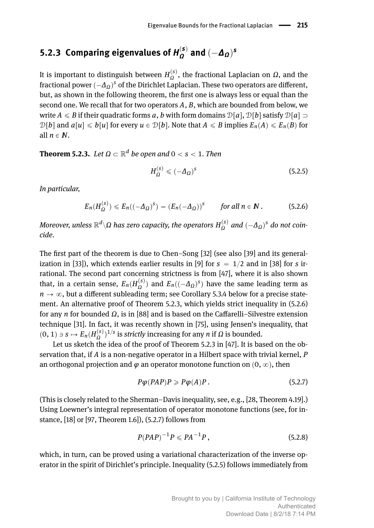#### **5.2.3** Comparing eigenvalues of  $H_Q^{(s)}$  $\frac{a^{(s)}}{a}$  and  $(-\Delta_{\Omega})^s$

It is important to distinguish between  $H_{\Omega}^{(s)}$ , the fractional Laplacian on *Ω*, and the fractional power  $(-\Delta_{\varOmega})^s$  of the Dirichlet Laplacian. These two operators are different, but, as shown in the following theorem, the first one is always less or equal than the second one. We recall that for two operators *A*, *B*, which are bounded from below, we write  $A \leq B$  if their quadratic forms a, b with form domains  $\mathcal{D}[a], \mathcal{D}[b]$  satisfy  $\mathcal{D}[a] \supset$  $\mathcal{D}[b]$  and  $a[u] \leq b[u]$  for every  $u \in \mathcal{D}[b]$ . Note that  $A \leq B$  implies  $E_n(A) \leq E_n(B)$  for all  $n \in \mathbb{N}$ .

<span id="page-5-0"></span> $\bf Theorem~5.2.3.$   $\it Let$   $\Omega\subset \mathbb{R}^d$   $\it be$   $open$  and  $0 < s < 1.$  Then

<span id="page-5-3"></span>
$$
H_{\Omega}^{(s)} \leqslant (-\Delta_{\Omega})^s \tag{5.2.5}
$$

*In particular,*

<span id="page-5-1"></span>
$$
E_n(H_{\Omega}^{(s)}) \leqslant E_n((-\Delta_{\Omega})^s) = (E_n(-\Delta_{\Omega}))^s \qquad \text{for all } n \in \mathbb{N} \,.
$$
 (5.2.6)

 $M$ oreover, unless  $\mathbb{R}^d\backslash\Omega$  has zero capacity, the operators  $H^{(s)}_{\Omega}$  and  $(-\Delta_{\Omega})^s$  do not coin*cide.*

The first part of the theorem is due to Chen–Song [\[32\]](#page-21-1) (see also [\[39\]](#page-22-4) and its general-ization in [\[33\]](#page-21-7)), which extends earlier results in [\[9\]](#page-20-2) for  $s = 1/2$  and in [\[38\]](#page-22-5) for *s* irrational. The second part concerning strictness is from [\[47\]](#page-22-6), where it is also shown that, in a certain sense,  $E_n(H_{\Omega}^{(s)})$  and  $E_n((-\Delta_{\Omega})^s)$  have the same leading term as  $n \rightarrow \infty$ , but a different subleading term; see Corollary [5.3.4](#page-9-0) below for a precise statement. An alternative proof of Theorem [5.2.3,](#page-5-0) which yields strict inequality in [\(5.2.6\)](#page-5-1) for any *n* for bounded *Ω*, is in [\[88\]](#page-25-2) and is based on the Caffarelli–Silvestre extension technique [\[31\]](#page-21-8). In fact, it was recently shown in [\[75\]](#page-24-7), using Jensen's inequality, that  $p(0, 1) \ni s \mapsto E_n(H_0^{(s)})^{1/s}$  is *strictly* increasing for any *n* if *Ω* is bounded.

Let us sketch the idea of the proof of Theorem [5.2.3](#page-5-0) in [\[47\]](#page-22-6). It is based on the observation that, if *A* is a non-negative operator in a Hilbert space with trivial kernel, *P* an orthogonal projection and  $\varphi$  an operator monotone function on  $(0, \infty)$ , then

<span id="page-5-2"></span>
$$
P\varphi(PAP)P \ge P\varphi(A)P. \tag{5.2.7}
$$

(This is closely related to the Sherman–Davis inequality, see, e.g., [\[28,](#page-21-9) Theorem 4.19].) Using Loewner's integral representation of operator monotone functions (see, for instance, [\[18\]](#page-21-10) or [\[97,](#page-25-3) Theorem 1.6]), [\(5.2.7\)](#page-5-2) follows from

<span id="page-5-4"></span>
$$
P(PAP)^{-1}P \leqslant PA^{-1}P\,,\tag{5.2.8}
$$

which, in turn, can be proved using a variational characterization of the inverse operator in the spirit of Dirichlet's principle. Inequality [\(5.2.5\)](#page-5-3) follows immediately from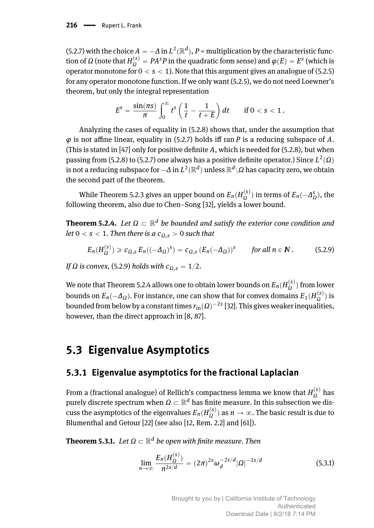[\(5.2.7\)](#page-5-2) with the choice  $A = -\Delta$  in  $L^2(\mathbb{R}^d)$ ,  $P$  = multiplication by the characteristic func- $\phi$  (note that  $H_{\Omega}^{(s)} = P A^s P$  in the quadratic form sense) and  $\varphi(E) = E^s$  (which is operator monotone for  $0 < s < 1$ ). Note that this argument gives an analogue of [\(5.2.5\)](#page-5-3) for any operator monotone function. If we only want [\(5.2.5\)](#page-5-3), we do not need Loewner's theorem, but only the integral representation

$$
E^{s} = \frac{\sin(\pi s)}{\pi} \int_{0}^{\infty} t^{s} \left(\frac{1}{t} - \frac{1}{t+E}\right) dt \quad \text{if } 0 < s < 1.
$$

Analyzing the cases of equality in [\(5.2.8\)](#page-5-4) shows that, under the assumption that *φ* is not affine linear, equality in [\(5.2.7\)](#page-5-2) holds iff ran *P* is a reducing subspace of *A*. (This is stated in [\[47\]](#page-22-6) only for positive definite *A*, which is needed for [\(5.2.8\)](#page-5-4), but when passing from [\(5.2.8\)](#page-5-4) to [\(5.2.7\)](#page-5-2) one always has a positive definite operator.) Since  $L^2(\Omega)$ is not a reducing subspace for  $-\varDelta$  in  $L^2(\mathbb{R}^d)$  unless  $\mathbb{R}^d\backslash\varOmega$  has capacity zero, we obtain the second part of the theorem.

While Theorem [5.2.3](#page-5-0) gives an upper bound on  $E_n(H_{\Omega}^{(s)})$  in terms of  $E_n(-\Delta_{\Omega}^s)$ , the following theorem, also due to Chen–Song [\[32\]](#page-21-1), yields a lower bound.

<span id="page-6-1"></span>**Theorem 5.2.4.** Let  $Ω ⊂ ℝ<sup>d</sup>$  be bounded and satisfy the exterior cone condition and *let*  $0 < s < 1$ *. Then there is a*  $c<sub>0</sub>$ ,  $> 0$  *such that* 

<span id="page-6-0"></span>
$$
E_n(H_{\Omega}^{(s)}) \geqslant c_{\Omega,s} \, E_n((-\Delta_{\Omega})^s) = c_{\Omega,s} \, (E_n(-\Delta_{\Omega}))^s \qquad \text{for all } n \in \mathbb{N} \, . \tag{5.2.9}
$$

*If*  $\Omega$  *is convex,* [\(5.2.9\)](#page-6-0) *holds with*  $c_{\Omega, s} = 1/2$ *.* 

We note that Theorem [5.2.4](#page-6-1) allows one to obtain lower bounds on  $E_n(H_{\Omega}^{(s)})$  from lower bounds on  $E_n(-\Delta_{\Omega})$ . For instance, one can show that for convex domains  $E_1(H_{\Omega}^{(s)})$  is bounded from below by a constant times  $r_{\text{in}}(\Omega)^{-2s}$  [\[32\]](#page-21-1). This gives weaker inequalities, however, than the direct approach in [\[8,](#page-20-1) [87\]](#page-24-4).

## **5.3 Eigenvalue Asymptotics**

#### **5.3.1 Eigenvalue asymptotics for the fractional Laplacian**

From a (fractional analogue) of Rellich's compactness lemma we know that  $H^{(s)}_{\Omega}$  has *n* bin a (hactional analogue) of Reflict 3 compactness refling we know that  $H_0$  has purely discrete spectrum when  $\Omega \subset \mathbb{R}^d$  has finite measure. In this subsection we discuss the asymptotics of the eigenvalues  $E_n(H_{\Omega}^{(s)})$  as  $n\to\infty.$  The basic result is due to Blumenthal and Getour [\[22\]](#page-21-11) (see also [\[12,](#page-20-3) Rem. 2.2] and [\[61\]](#page-23-4)).

<span id="page-6-3"></span> ${\bf Theorem~5.3.1.}$   $\ Let\ \Omega\subset \mathbb{R}^d$  be open with finite measure. Then

<span id="page-6-2"></span>
$$
\lim_{n \to \infty} \frac{E_n(H_{\Omega}^{(s)})}{n^{2s/d}} = (2\pi)^{2s} \omega_d^{-2s/d} |\Omega|^{-2s/d}
$$
\n(5.3.1)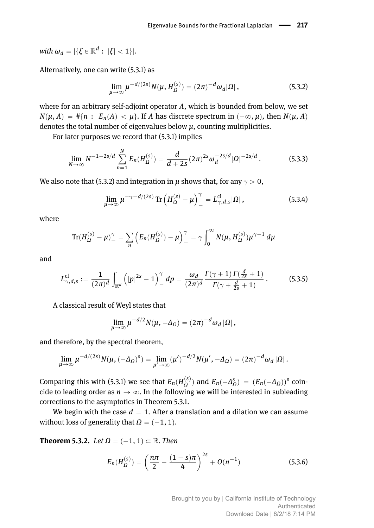$\text{with } \omega_d = |\{\xi \in \mathbb{R}^d : |\xi| < 1\}|.$ 

Alternatively, one can write [\(5.3.1\)](#page-6-2) as

<span id="page-7-0"></span>
$$
\lim_{\mu \to \infty} \mu^{-d/(2s)} N(\mu, H_{\Omega}^{(s)}) = (2\pi)^{-d} \omega_d |\Omega|, \qquad (5.3.2)
$$

where for an arbitrary self-adjoint operator *A*, which is bounded from below, we set  $N(\mu, A) = #\{n : E_n(A) < \mu\}$ . If *A* has discrete spectrum in  $(-\infty, \mu)$ , then  $N(\mu, A)$ denotes the total number of eigenvalues below  $\mu$ , counting multiplicities.

For later purposes we record that [\(5.3.1\)](#page-6-2) implies

*N*

<span id="page-7-2"></span>
$$
\lim_{N \to \infty} N^{-1-2s/d} \sum_{n=1}^{N} E_n(H_{\Omega}^{(s)}) = \frac{d}{d+2s} (2\pi)^{2s} \omega_d^{-2s/d} |\Omega|^{-2s/d} . \tag{5.3.3}
$$

We also note that [\(5.3.2\)](#page-7-0) and integration in  $\mu$  shows that, for any  $\gamma > 0$ ,

<span id="page-7-3"></span>
$$
\lim_{\mu \to \infty} \mu^{-\gamma - d/(2s)} \operatorname{Tr} \left( H_{\Omega}^{(s)} - \mu \right)_{-}^{\gamma} = L_{\gamma, d, s}^{cl} |\Omega|, \qquad (5.3.4)
$$

where

$$
\text{Tr}(H_{\Omega}^{(s)} - \mu)^{\gamma} = \sum_{n} \left( E_n(H_{\Omega}^{(s)}) - \mu \right)^{\gamma} = \gamma \int_0^{\infty} N(\mu, H_{\Omega}^{(s)}) \mu^{\gamma - 1} d\mu
$$

and

<span id="page-7-4"></span>
$$
L_{\gamma,d,s}^{\rm cl}:=\frac{1}{(2\pi)^d}\int_{\mathbb{R}^d}\left(|p|^{2s}-1\right)_-^{\gamma}dp=\frac{\omega_d}{(2\pi)^d}\frac{\Gamma(\gamma+1)\,\Gamma(\frac{d}{2s}+1)}{\Gamma(\gamma+\frac{d}{2s}+1)}\,. \tag{5.3.5}
$$

A classical result of Weyl states that

$$
\lim_{\mu\to\infty}\mu^{-d/2}N(\mu,-\Delta_{\Omega})=(2\pi)^{-d}\omega_d|\Omega|,
$$

and therefore, by the spectral theorem,

$$
\lim_{\mu\to\infty}\mu^{-d/(2s)}N(\mu,(-\Delta_{\Omega})^s)=\lim_{\mu'\to\infty}(\mu')^{-d/2}N(\mu',-\Delta_{\Omega})=(2\pi)^{-d}\omega_d|\Omega|.
$$

Comparing this with [\(5.3.1\)](#page-6-2) we see that  $E_n(H_{\Omega}^{(s)})$  and  $E_n(-\Delta_{\Omega}^s) = (E_n(-\Delta_{\Omega}))^s$  coincide to leading order as  $n \to \infty$ . In the following we will be interested in subleading corrections to the asymptotics in Theorem [5.3.1.](#page-6-3)

We begin with the case  $d = 1$ . After a translation and a dilation we can assume without loss of generality that  $\Omega = (-1, 1)$ .

**Theorem 5.3.2.** *Let*  $\Omega = (-1, 1) \subset \mathbb{R}$ *. Then* 

<span id="page-7-1"></span>
$$
E_n(H_{\Omega}^{(s)}) = \left(\frac{n\pi}{2} - \frac{(1-s)\pi}{4}\right)^{2s} + O(n^{-1})
$$
\n(5.3.6)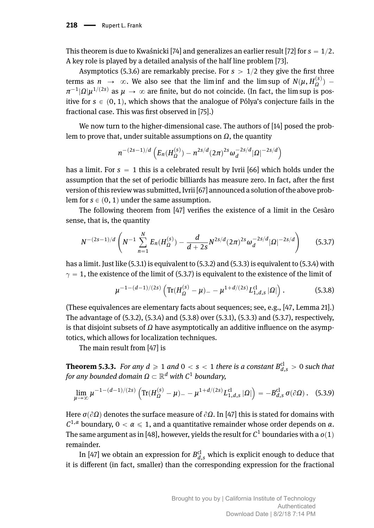This theorem is due to Kwaśnicki [\[74\]](#page-24-8) and generalizes an earlier result [\[72\]](#page-24-9) for  $s = 1/2$ . A key role is played by a detailed analysis of the half line problem [\[73\]](#page-24-10).

Asymptotics [\(5.3.6\)](#page-7-1) are remarkably precise. For  $s > 1/2$  they give the first three terms as  $n \to \infty$ . We also see that the lim inf and the lim sup of  $N(\mu, H_{\Omega}^{(s)})$  –  $\pi^{-1}$ |*Ω*| $\mu^{1/(2s)}$  as  $\mu \to \infty$  are finite, but do not coincide. (In fact, the lim sup is positive for  $s \in (0, 1)$ , which shows that the analogue of Pólya's conjecture fails in the fractional case. This was first observed in [\[75\]](#page-24-7).)

We now turn to the higher-dimensional case. The authors of [\[14\]](#page-20-4) posed the problem to prove that, under suitable assumptions on *Ω*, the quantity

$$
n^{-(2s-1)/d}\left(E_n(H_{\Omega}^{(s)})-n^{2s/d}(2\pi)^{2s}\omega_d^{-2s/d}|\Omega|^{-2s/d}\right)
$$

has a limit. For  $s = 1$  this is a celebrated result by Ivrii [\[66\]](#page-23-5) which holds under the assumption that the set of periodic billiards has measure zero. In fact, after the first version of this review was submitted, Ivrii [\[67\]](#page-23-6) announced a solution of the above problem for  $s \in (0, 1)$  under the same assumption.

The following theorem from [\[47\]](#page-22-6) verifies the existence of a limit in the Cesàro sense, that is, the quantity

<span id="page-8-0"></span>
$$
N^{-(2s-1)/d} \left( N^{-1} \sum_{n=1}^{N} E_n(H_{\Omega}^{(s)}) - \frac{d}{d+2s} N^{2s/d} (2\pi)^{2s} \omega_d^{-2s/d} |\Omega|^{-2s/d} \right) \tag{5.3.7}
$$

has a limit. Just like [\(5.3.1\)](#page-6-2) is equivalent to [\(5.3.2\)](#page-7-0) and [\(5.3.3\)](#page-7-2) is equivalent to [\(5.3.4\)](#page-7-3) with  $\gamma = 1$ , the existence of the limit of [\(5.3.7\)](#page-8-0) is equivalent to the existence of the limit of

<span id="page-8-1"></span>
$$
\mu^{-1-(d-1)/(2s)} \left( \text{Tr}(H_{\Omega}^{(s)} - \mu)_{-} - \mu^{1+d/(2s)} L_{1,d,s}^{\text{cl}} |\Omega| \right). \tag{5.3.8}
$$

(These equivalences are elementary facts about sequences; see, e.g., [\[47,](#page-22-6) Lemma 21].) The advantage of [\(5.3.2\)](#page-7-0), [\(5.3.4\)](#page-7-3) and [\(5.3.8\)](#page-8-1) over [\(5.3.1\)](#page-6-2), [\(5.3.3\)](#page-7-2) and [\(5.3.7\)](#page-8-0), respectively, is that disjoint subsets of *Ω* have asymptotically an additive influence on the asymptotics, which allows for localization techniques.

The main result from [\[47\]](#page-22-6) is

<span id="page-8-2"></span>**Theorem 5.3.3.** For any  $d \geqslant 1$  and  $0 < s < 1$  there is a constant  $B_{d,s}^{\text{cl}} > 0$  such that  $f$ or any bounded domain  $\Omega \subset \mathbb{R}^d$  with  $\mathcal{C}^1$  boundary,

$$
\lim_{\mu \to \infty} \mu^{-1 - (d-1)/(2s)} \left( \text{Tr}(H_{\Omega}^{(s)} - \mu) - \mu^{1 + d/(2s)} L_{1,d,s}^{\mathcal{C}} |\Omega| \right) = -B_{d,s}^{\mathcal{C}} \sigma(\partial \Omega). \quad (5.3.9)
$$

Here  $\sigma(\partial\Omega)$  denotes the surface measure of  $\partial\Omega$ . In [\[47\]](#page-22-6) this is stated for domains with *C*<sup>1,*α*</sup> boundary,  $0 < a \le 1$ , and a quantitative remainder whose order depends on *α*. The same argument as in [\[48\]](#page-22-7), however, yields the result for  $\mathcal{C}^1$  boundaries with a  $o(1)$ remainder.

In [\[47\]](#page-22-6) we obtain an expression for  $B_{d,s}^{\rm cl}$  which is explicit enough to deduce that it is different (in fact, smaller) than the corresponding expression for the fractional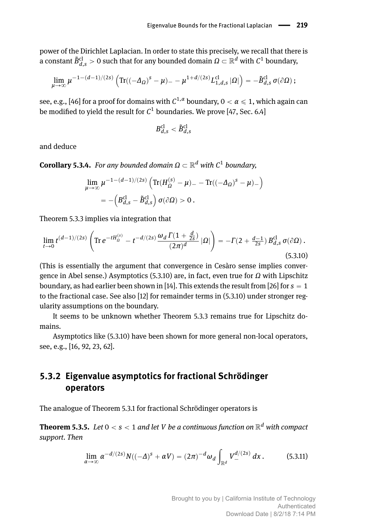power of the Dirichlet Laplacian. In order to state this precisely, we recall that there is a constant  $\tilde{B}_{d,s}^{\text{cl}}>0$  such that for any bounded domain  $\Omega\subset\mathbb{R}^d$  with  $\mathcal{C}^1$  boundary,

$$
\lim_{\mu\to\infty}\mu^{-1-(d-1)/(2s)}\left( \text{Tr}((-\varDelta_\varOmega)^s-\mu)_--\mu^{1+d/(2s)}L_{1,d,s}^\text{cl}\ket{\varOmega}\right)=-\tilde B_{d,s}^\text{cl}\,\sigma(\partial\varOmega)\,;
$$

see, e.g., [\[46\]](#page-22-8) for a proof for domains with  $C^{1,\alpha}$  boundary,  $0<\alpha\leqslant 1,$  which again can be modified to yield the result for  $\mathcal{C}^1$  boundaries. We prove [\[47,](#page-22-6) Sec. 6.4]

$$
B_{d,s}^{\rm cl}<\tilde{B}_{d,s}^{\rm cl}
$$

and deduce

<span id="page-9-0"></span> $$ 

$$
\lim_{\mu \to \infty} \mu^{-1 - (d-1)/(2s)} \left( \text{Tr}(H_{\Omega}^{(s)} - \mu) - \text{Tr}((-\Delta_{\Omega})^s - \mu) - \right)
$$
  
= -\left( B\_{d,s}^{\text{cl}} - \tilde{B}\_{d,s}^{\text{cl}} \right) \sigma(\partial \Omega) > 0.

Theorem [5.3.3](#page-8-2) implies via integration that

<span id="page-9-1"></span>
$$
\lim_{t \to 0} t^{(d-1)/(2s)} \left( \text{Tr} \, e^{-t H_{\Omega}^{(s)}} - t^{-d/(2s)} \frac{\omega_d \, \Gamma(1 + \frac{d}{2s})}{(2\pi)^d} \, |\Omega| \right) = -\Gamma(2 + \frac{d-1}{2s}) \, B_{d,s}^{\text{cl}} \, \sigma(\partial \Omega) \, . \tag{5.3.10}
$$

(This is essentially the argument that convergence in Cesàro sense implies convergence in Abel sense.) Asymptotics [\(5.3.10\)](#page-9-1) are, in fact, even true for *Ω* with Lipschitz boundary, as had earlier been shown in [\[14\]](#page-20-4). This extends the result from [\[26\]](#page-21-12) for  $s = 1$ to the fractional case. See also [\[12\]](#page-20-3) for remainder terms in [\(5.3.10\)](#page-9-1) under stronger regularity assumptions on the boundary.

It seems to be unknown whether Theorem [5.3.3](#page-8-2) remains true for Lipschitz domains.

Asymptotics like [\(5.3.10\)](#page-9-1) have been shown for more general non-local operators, see, e.g., [\[16,](#page-21-13) [92,](#page-25-4) [23,](#page-21-14) [62\]](#page-23-7).

### **5.3.2 Eigenvalue asymptotics for fractional Schrödinger operators**

The analogue of Theorem [5.3.1](#page-6-3) for fractional Schrödinger operators is

<span id="page-9-3"></span> ${\bf Theorem~5.3.5.}$   $\,$   $Let$   $0 < s < 1$  and let  $V$   $be$   $a$  continuous function on  $\mathbb{R}^d$  with compact *support. Then*

<span id="page-9-2"></span>
$$
\lim_{\alpha \to \infty} \alpha^{-d/(2s)} N((-{\Delta})^s + \alpha V) = (2\pi)^{-d} \omega_d \int_{\mathbb{R}^d} V_{-}^{d/(2s)} dx.
$$
 (5.3.11)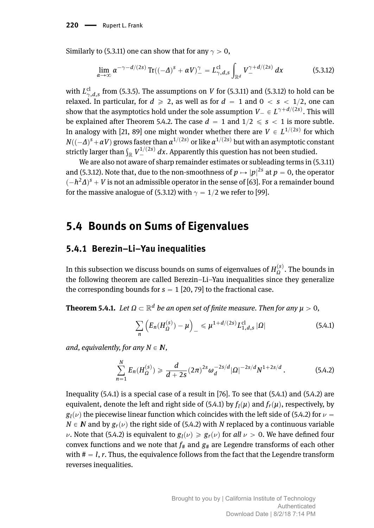Similarly to [\(5.3.11\)](#page-9-2) one can show that for any  $\gamma > 0$ ,

<span id="page-10-1"></span>
$$
\lim_{\alpha \to \infty} \alpha^{-\gamma - d/(2s)} \operatorname{Tr}((-A)^s + \alpha V)^{\gamma} = L_{\gamma,d,s}^{\mathrm{cl}} \int_{\mathbb{R}^d} V_{-}^{\gamma + d/(2s)} dx \tag{5.3.12}
$$

with  $L_{\gamma,d,s}^{cl}$  from [\(5.3.5\)](#page-7-4). The assumptions on *V* for [\(5.3.11\)](#page-9-2) and [\(5.3.12\)](#page-10-1) to hold can be relaxed. In particular, for  $d \ge 2$ , as well as for  $d = 1$  and  $0 < s < 1/2$ , one can show that the asymptotics hold under the sole assumption  $V_{-} \in L^{\gamma+d/(2s)}$ . This will be explained after Theorem [5.4.2.](#page-12-0) The case  $d = 1$  and  $1/2 \le s < 1$  is more subtle. In analogy with [\[21,](#page-21-15) [89\]](#page-25-5) one might wonder whether there are  $V \in L^{1/(2s)}$  for which  $N((-\varDelta)^{s}+\alpha V)$  grows faster than  $\alpha^{1/(2s)}$  or like  $\alpha^{1/(2s)}$  but with an asymptotic constant  $W((-2) + dV)$  grows laster than  $dV > 0$  like  $dV > 0$  but with an asymptotic constrictly larger than  $\int_{\mathbb{R}} V_{-}^{1/(2s)} dx$ . Apparently this question has not been studied.

We are also not aware of sharp remainder estimates or subleading terms in [\(5.3.11\)](#page-9-2) and [\(5.3.12\)](#page-10-1). Note that, due to the non-smoothness of  $p \mapsto |p|^{2s}$  at  $p = 0,$  the operator  $(-h^2\Delta)^s + V$  is not an admissible operator in the sense of [\[63\]](#page-23-8). For a remainder bound for the massive analogue of [\(5.3.12\)](#page-10-1) with  $\gamma = 1/2$  we refer to [\[99\]](#page-25-6).

### <span id="page-10-0"></span>**5.4 Bounds on Sums of Eigenvalues**

#### **5.4.1 Berezin–Li–Yau inequalities**

In this subsection we discuss bounds on sums of eigenvalues of  $H_{\Omega}^{(s)}$ . The bounds in the following theorem are called Berezin–Li–Yau inequalities since they generalize the corresponding bounds for  $s = 1$  [\[20,](#page-21-16) [79\]](#page-24-11) to the fractional case.

 ${\bf Theorem~5.4.1.}$   $\ Let\ \Omega\subset \mathbb{R}^d$  be an open set of finite measure. Then for any  $\mu>0,$ 

<span id="page-10-2"></span>
$$
\sum_{n} \left( E_n(H_{\Omega}^{(s)}) - \mu \right)_{-} \leq \mu^{1 + d/(2s)} L_{1,d,s}^{\text{cl}} \, |\Omega| \tag{5.4.1}
$$

*and, equivalently, for any*  $N \in \mathbb{N}$ ,

<span id="page-10-3"></span>
$$
\sum_{n=1}^{N} E_n(H_{\Omega}^{(s)}) \geq \frac{d}{d+2s} (2\pi)^{2s} \omega_d^{-2s/d} |\Omega|^{-2s/d} N^{1+2s/d} . \tag{5.4.2}
$$

Inequality [\(5.4.1\)](#page-10-2) is a special case of a result in [\[76\]](#page-24-12). To see that [\(5.4.1\)](#page-10-2) and [\(5.4.2\)](#page-10-3) are equivalent, denote the left and right side of  $(5.4.1)$  by  $f_l(\mu)$  and  $f_r(\mu)$ , respectively, by  $g_l(\nu)$  the piecewise linear function which coincides with the left side of [\(5.4.2\)](#page-10-3) for  $\nu$  =  $N \in \mathbb{N}$  and by  $g_r(\nu)$  the right side of [\(5.4.2\)](#page-10-3) with *N* replaced by a continuous variable  $\nu$ . Note that [\(5.4.2\)](#page-10-3) is equivalent to  $g_l(\nu) \geq g_r(\nu)$  for *all*  $\nu > 0$ . We have defined four convex functions and we note that  $f_{\#}$  and  $g_{\#}$  are Legendre transforms of each other with  $# = l$ ,  $r$ . Thus, the equivalence follows from the fact that the Legendre transform reverses inequalities.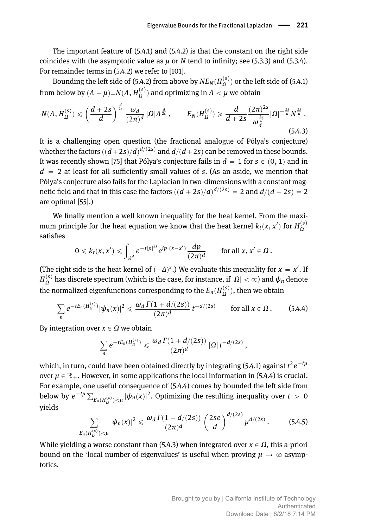The important feature of [\(5.4.1\)](#page-10-2) and [\(5.4.2\)](#page-10-3) is that the constant on the right side coincides with the asymptotic value as *µ* or *N* tend to infinity; see [\(5.3.3\)](#page-7-2) and [\(5.3.4\)](#page-7-3). For remainder terms in [\(5.4.2\)](#page-10-3) we refer to [\[101\]](#page-25-7).

Bounding the left side of [\(5.4.2\)](#page-10-3) from above by  $\mathit{NE}_N(H_{\Omega}^{(s)})$  or the left side of [\(5.4.1\)](#page-10-2) from below by  $(A - \mu) = N(A, H_{\Omega}^{(s)})$  and optimizing in  $A < \mu$  we obtain

<span id="page-11-1"></span>
$$
N(\Lambda, H_{\Omega}^{(s)}) \leq \left(\frac{d+2s}{d}\right)^{\frac{d}{2s}} \frac{\omega_d}{(2\pi)^d} |\Omega| \Lambda^{\frac{d}{2s}}, \qquad E_N(H_{\Omega}^{(s)}) \geq \frac{d}{d+2s} \frac{(2\pi)^{2s}}{\omega_d^{\frac{2s}{d}}} |\Omega|^{-\frac{2s}{d}} N^{\frac{2s}{d}}.
$$
\n(5.4.3)

It is a challenging open question (the fractional analogue of Pólya's conjecture) whether the factors  $((d+2s)/d)^{d/(2s)}$  and  $d/(d+2s)$  can be removed in these bounds. It was recently shown [\[75\]](#page-24-7) that Pólya's conjecture fails in  $d = 1$  for  $s \in (0, 1)$  and in  $d = 2$  at least for all sufficiently small values of *s*. (As an aside, we mention that Pólya's conjecture also fails for the Laplacian in two-dimensions with a constant magnetic field and that in this case the factors  $((d + 2s)/d)^{d/(2s)} = 2$  and  $d/(d + 2s) = 2$ are optimal [\[55\]](#page-23-9).)

We finally mention a well known inequality for the heat kernel. From the maximum principle for the heat equation we know that the heat kernel  $k_t(x, x')$  for  $H_{\Omega}^{(s)}$ satisfies

$$
0\leqslant k_t(x,x')\leqslant \int_{\mathbb{R}^d}e^{-t|p|^{2s}}e^{ip\cdot(x-x')}\frac{dp}{(2\pi)^d}\qquad\text{for all }x,x'\in\Omega\,.
$$

(The right side is the heat kernel of  $(-\Delta)^s$ .) We evaluate this inequality for  $x = x'$ . If  $H_{\Omega}^{(s)}$  has discrete spectrum (which is the case, for instance, if  $|\Omega|<\infty$ ) and  $\psi_n$  denote the normalized eigenfunctions corresponding to the  $E_n(H_{\Omega}^{(s)})$  , then we obtain

<span id="page-11-0"></span>
$$
\sum_{n} e^{-tE_n(H_{\Omega}^{(s)})} |\psi_n(x)|^2 \leq \frac{\omega_d \Gamma(1 + d/(2s))}{(2\pi)^d} t^{-d/(2s)} \quad \text{for all } x \in \Omega. \quad (5.4.4)
$$

By integration over  $x \in Ω$  we obtain

$$
\sum_n e^{-tE_n(H_{\Omega}^{(s)})} \leq \frac{\omega_d \Gamma(1+d/(2s))}{(2\pi)^d} |\Omega| t^{-d/(2s)},
$$

which, in turn, could have been obtained directly by integrating [\(5.4.1\)](#page-10-2) against  $t^2e^{-t\mu}$ over  $\mu \in \mathbb{R}_+$ . However, in some applications the local information in [\(5.4.4\)](#page-11-0) is crucial. For example, one useful consequence of [\(5.4.4\)](#page-11-0) comes by bounded the left side from  $\alpha$  below by  $e^{-t\mu} \sum$  $E_n(H_{\Omega}^{(s)}) \leq \mu |\psi_n(x)|^2$ . Optimizing the resulting inequality over  $t > 0$ yields  $\frac{1}{2}$ 

$$
\sum_{E_n(H_{\Omega}^{(s)})<\mu} |\psi_n(x)|^2 \leq \frac{\omega_d \Gamma(1+d/(2s))}{(2\pi)^d} \left(\frac{2se}{d}\right)^{d/(2s)} \mu^{d/(2s)}.
$$
 (5.4.5)

While yielding a worse constant than [\(5.4.3\)](#page-11-1) when integrated over  $x \in \Omega$ , this a-priori bound on the 'local number of eigenvalues' is useful when proving  $\mu \to \infty$  asymptotics.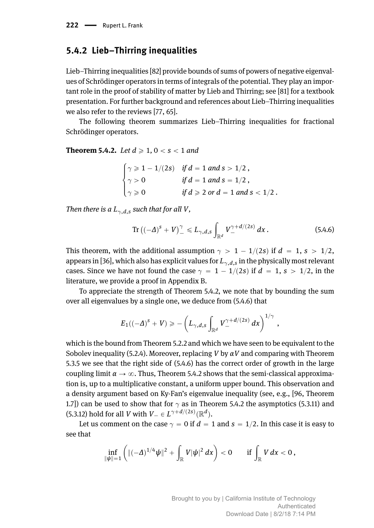#### **5.4.2 Lieb–Thirring inequalities**

Lieb–Thirring inequalities [\[82\]](#page-24-6) provide bounds of sums of powers of negative eigenvalues of Schrödinger operators in terms of integrals of the potential. They play an important role in the proof of stability of matter by Lieb and Thirring; see [\[81\]](#page-24-13) for a textbook presentation. For further background and references about Lieb–Thirring inequalities we also refer to the reviews [\[77,](#page-24-14) [65\]](#page-23-10).

The following theorem summarizes Lieb–Thirring inequalities for fractional Schrödinger operators.

<span id="page-12-0"></span>**Theorem 5.4.2.** *Let*  $d \ge 1, 0 < s < 1$  *and* 

 $\mathbb{R}^2$ 

$$
\begin{cases}\n\gamma \geq 1 - 1/(2s) & \text{if } d = 1 \text{ and } s > 1/2, \\
\gamma > 0 & \text{if } d = 1 \text{ and } s = 1/2, \\
\gamma \geq 0 & \text{if } d \geq 2 \text{ or } d = 1 \text{ and } s < 1/2.\n\end{cases}
$$

*Then there is a*  $L_{\gamma d}$ , *such that for all V*,

<span id="page-12-1"></span>
$$
\operatorname{Tr}((-\Delta)^{s}+V)^{\gamma}\leqslant L_{\gamma,d,s}\int_{\mathbb{R}^{d}}V_{-}^{\gamma+d/(2s)}dx.
$$
 (5.4.6)

This theorem, with the additional assumption  $\gamma > 1 - 1/(2s)$  if  $d = 1, s > 1/2$ , appears in [\[36\]](#page-22-0), which also has explicit values for  $L_{\gamma,d,s}$  in the physically most relevant cases. Since we have not found the case  $\gamma = 1 - 1/(2s)$  if  $d = 1$ ,  $s > 1/2$ , in the literature, we provide a proof in Appendix [B.](#page--1-1)

To appreciate the strength of Theorem [5.4.2,](#page-12-0) we note that by bounding the sum over all eigenvalues by a single one, we deduce from [\(5.4.6\)](#page-12-1) that

$$
E_1((-\Delta)^s + V) \geqslant -\left(L_{\gamma,d,s}\int_{\mathbb{R}^d}V_{-}^{\gamma+d/(2s)} dx\right)^{1/\gamma},
$$

which is the bound from Theorem [5.2.2](#page-3-0) and which we have seen to be equivalent to the Sobolev inequality [\(5.2.4\)](#page-4-0). Moreover, replacing *V* by *αV* and comparing with Theorem [5.3.5](#page-9-3) we see that the right side of [\(5.4.6\)](#page-12-1) has the correct order of growth in the large coupling limit  $\alpha \to \infty$ . Thus, Theorem [5.4.2](#page-12-0) shows that the semi-classical approximation is, up to a multiplicative constant, a uniform upper bound. This observation and a density argument based on Ky-Fan's eigenvalue inequality (see, e.g., [\[96,](#page-25-8) Theorem 1.7) can be used to show that for  $\gamma$  as in Theorem [5.4.2](#page-12-0) the asymptotics [\(5.3.11\)](#page-9-2) and  $(5.3.12)$  hold for all *V* with  $V_{-} \in L^{\gamma + d/(2s)}(\mathbb{R}^d)$ .

Let us comment on the case  $\gamma = 0$  if  $d = 1$  and  $s = 1/2$ . In this case it is easy to see that

$$
\inf_{\|\psi\|=1}\left(\|(-\Delta)^{1/4}\psi\|^2+\int_{\mathbb{R}}V|\psi|^2\,dx\right)<0\qquad\text{if}\,\int_{\mathbb{R}}V\,dx<0\,,
$$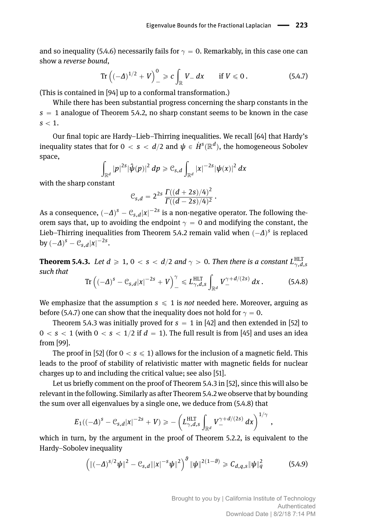and so inequality [\(5.4.6\)](#page-12-1) necessarily fails for  $\gamma = 0$ . Remarkably, in this case one can show a *reverse bound*, ż

<span id="page-13-0"></span>Tr 
$$
((-A)^{1/2} + V)^0 = \varepsilon \int_{\mathbb{R}} V - dx
$$
 if  $V \le 0$ . (5.4.7)

(This is contained in [\[94\]](#page-25-9) up to a conformal transformation.)

While there has been substantial progress concerning the sharp constants in the  $s = 1$  analogue of Theorem [5.4.2,](#page-12-0) no sharp constant seems to be known in the case  $s < 1$ .

Our final topic are Hardy–Lieb–Thirring inequalities. We recall [\[64\]](#page-23-0) that Hardy's inequality states that for  $0 < s < d/2$  and  $\psi \in \dot{H}^s(\mathbb{R}^d),$  the homogeneous Sobolev space, ż

$$
\int_{\mathbb{R}^d} |p|^{2s} |\hat{\boldsymbol{\psi}}(p)|^2 \, dp \geqslant \mathcal{C}_{s,d} \int_{\mathbb{R}^d} |x|^{-2s} |\boldsymbol{\psi}(x)|^2 \, dx
$$

with the sharp constant

$$
\mathcal{C}_{s,d}=2^{2s}\,\frac{\varGamma((d+2s)/4)^2}{\varGamma((d-2s)/4)^2}\,.
$$

As a consequence,  $(-\Delta)^s - \mathfrak{C}_{s,d}|x|^{-2s}$  is a non-negative operator. The following theorem says that, up to avoiding the endpoint  $\gamma = 0$  and modifying the constant, the Lieb–Thirring inequalities from Theorem [5.4.2](#page-12-0) remain valid when  $(-\Delta)$ <sup>s</sup> is replaced  $\frac{dy}{dx}(-\Delta)^s - \mathcal{C}_{s,d}|x|^{-2s}$ .

<span id="page-13-1"></span>**Theorem 5.4.3.** Let  $d \geqslant 1, 0 < s < d/2$  and  $\gamma > 0$ . Then there is a constant  $L_{\gamma,d,s}^{\rm HLT}$ *such that*  $\sqrt{\gamma}$ z

<span id="page-13-2"></span>
$$
\operatorname{Tr}\left(\left(-\Delta\right)^{s}-\mathcal{C}_{s,d}|x|^{-2s}+V\right)_{-}^{\gamma}\leqslant L_{\gamma,d,s}^{\operatorname{HLT}}\int_{\mathbb{R}^{d}}V_{-}^{\gamma+d/(2s)}dx\,.
$$
 (5.4.8)

We emphasize that the assumption  $s \leq 1$  is *not* needed here. Moreover, arguing as before [\(5.4.7\)](#page-13-0) one can show that the inequality does not hold for  $\gamma = 0$ .

Theorem [5.4.3](#page-13-1) was initially proved for  $s = 1$  in [\[42\]](#page-22-9) and then extended in [\[52\]](#page-23-11) to  $0 < s < 1$  (with  $0 < s < 1/2$  if  $d = 1$ ). The full result is from [\[45\]](#page-22-10) and uses an idea from [\[99\]](#page-25-6).

The proof in [\[52\]](#page-23-11) (for  $0 < s \le 1$ ) allows for the inclusion of a magnetic field. This leads to the proof of stability of relativistic matter with magnetic fields for nuclear charges up to and including the critical value; see also [\[51\]](#page-22-11).

Let us briefly comment on the proof of Theorem [5.4.3](#page-13-1) in [\[52\]](#page-23-11), since this will also be relevant in the following. Similarly as after Theorem [5.4.2](#page-12-0) we observe that by bounding the sum over all eigenvalues by a single one, we deduce from [\(5.4.8\)](#page-13-2) that

$$
E_1((-\Delta)^s-\mathcal{C}_{s,d}|x|^{-2s}+V)\geqslant -\left(L_{\gamma,d,s}^{\mathrm{HLT}}\int_{\mathbb{R}^d}V_{-}^{\gamma+d/(2s)}\,dx\right)^{1/\gamma},
$$

which in turn, by the argument in the proof of Theorem [5.2.2,](#page-3-0) is equivalent to the Hardy–Sobolev inequality

<span id="page-13-3"></span>
$$
\left(\|(-\Delta)^{s/2}\psi\|^2 - \mathcal{C}_{s,d}\|x|^{-s}\psi\|^2\right)^{\theta} \|\psi\|^{2(1-\theta)} \geq C_{d,q,s} \|\psi\|_q^2 \tag{5.4.9}
$$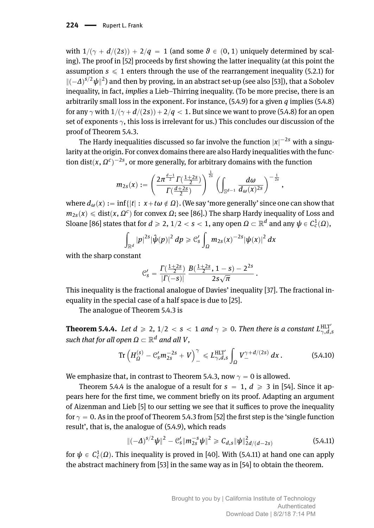#### 224 - Rupert L. Frank

with  $1/(\gamma + d/(2s)) + 2/q = 1$  (and some  $\theta \in (0, 1)$  uniquely determined by scaling). The proof in [\[52\]](#page-23-11) proceeds by first showing the latter inequality (at this point the assumption  $s \leq 1$  enters through the use of the rearrangement inequality [\(5.2.1\)](#page-3-1) for  $\|(-\Delta)^{s/2}\psi\|^2$ ) and then by proving, in an abstract set-up (see also [\[53\]](#page-23-12)), that a Sobolev inequality, in fact, *implies* a Lieb–Thirring inequality. (To be more precise, there is an arbitrarily small loss in the exponent. For instance, [\(5.4.9\)](#page-13-3) for a given *q* implies [\(5.4.8\)](#page-13-2) for any  $\gamma$  with  $1/(\gamma + d/(2s)) + 2/q < 1$ . But since we want to prove [\(5.4.8\)](#page-13-2) for an open set of exponents  $\gamma$ , this loss is irrelevant for us.) This concludes our discussion of the proof of Theorem [5.4.3.](#page-13-1)

The Hardy inequalities discussed so far involve the function  $|x|^{-2s}$  with a singularity at the origin. For convex domains there are also Hardy inequalities with the function dist $(x, \Omega^c)^{-2s}$ , or more generally, for arbitrary domains with the function

$$
m_{2s}(x):=\left(\frac{2\pi^{\frac{d-1}{2}}\Gamma(\frac{1+2s}{2})}{\Gamma(\frac{d+2s}{2})}\right)^{\frac{1}{2s}}\left(\int_{\mathbb{S}^{d-1}}\frac{d\omega}{d_{\omega}(x)^{2s}}\right)^{-\frac{1}{2s}},
$$

where  $d_{\omega}(x) := \inf\{|t| : x + t\omega \notin \Omega\}$ . (We say 'more generally' since one can show that  $m_{2s}(x)\leqslant \text{dist}(x,\varOmega^c)$  for convex  $\varOmega;$  see [\[86\]](#page-24-15).) The sharp Hardy inequality of Loss and Sloane [\[86\]](#page-24-15) states that for  $d \ge 2$ ,  $1/2 < s < 1$ , any open  $\Omega \subset \mathbb{R}^d$  and any  $\psi \in C_c^1(\Omega)$ ,

$$
\int_{\mathbb{R}^d} |p|^{2s} |\hat{\psi}(p)|^2 dp \geq C_s' \int_{\Omega} m_{2s}(x)^{-2s} |\psi(x)|^2 dx
$$

with the sharp constant

$$
\mathcal{C}'_s = \frac{\Gamma(\frac{1+2s}{2})}{|\Gamma(-s)|} \frac{B(\frac{1+2s}{2}, 1-s) - 2^{2s}}{2s\sqrt{\pi}}
$$

This inequality is the fractional analogue of Davies' inequality [\[37\]](#page-22-12). The fractional inequality in the special case of a half space is due to [\[25\]](#page-21-17).

The analogue of Theorem [5.4.3](#page-13-1) is

<span id="page-14-0"></span>**Theorem 5.4.4.** Let  $d \ge 2$ ,  $1/2 < s < 1$  and  $\gamma \ge 0$ . Then there is a constant  $L_{\gamma,d,s}^{\text{HLT}'}$  $s$ uch that for all open  $\Omega \subset \mathbb{R}^d$  and all  $V$ ,

Tr 
$$
(H_{\Omega}^{(s)} - C_s' m_{2s}^{-2s} + V)^{\gamma} \le L_{\gamma,d,s}^{\text{HLT}'} \int_{\Omega} V_{-}^{\gamma+d/(2s)} dx
$$
. (5.4.10)

.

We emphasize that, in contrast to Theorem [5.4.3,](#page-13-1) now  $\gamma = 0$  is allowed.

Theorem [5.4.4](#page-14-0) is the analogue of a result for  $s = 1$ ,  $d \geq 3$  in [\[54\]](#page-23-13). Since it appears here for the first time, we comment briefly on its proof. Adapting an argument of Aizenman and Lieb [\[5\]](#page-20-5) to our setting we see that it suffices to prove the inequality for  $\gamma = 0$ . As in the proof of Theorem [5.4.3](#page-13-1) from [\[52\]](#page-23-11) the first step is the 'single function result', that is, the analogue of [\(5.4.9\)](#page-13-3), which reads

<span id="page-14-1"></span>
$$
\|(-\Delta)^{s/2}\psi\|^2 - C'_s\|m_{2s}^{-s}\psi\|^2 \geq C_{d,s}\|\psi\|^2_{2d/(d-2s)}
$$
(5.4.11)

for  $\psi \in C^1_c(\Omega)$ . This inequality is proved in [\[40\]](#page-22-13). With [\(5.4.11\)](#page-14-1) at hand one can apply the abstract machinery from [\[53\]](#page-23-12) in the same way as in [\[54\]](#page-23-13) to obtain the theorem.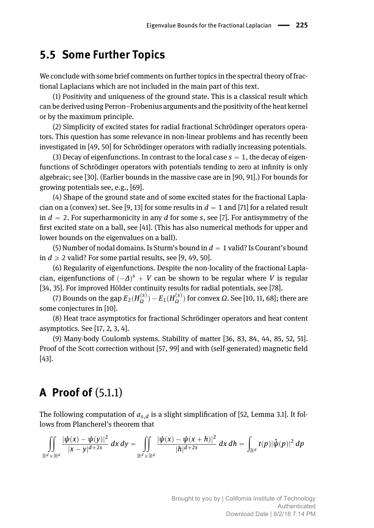## <span id="page-15-0"></span>**5.5 Some Further Topics**

We conclude with some brief comments on further topics in the spectral theory of fractional Laplacians which are not included in the main part of this text.

(1) Positivity and uniqueness of the ground state. This is a classical result which can be derived using Perron–Frobenius arguments and the positivity of the heat kernel or by the maximum principle.

(2) Simplicity of excited states for radial fractional Schrödinger operators operators. This question has some relevance in non-linear problems and has recently been investigated in [\[49,](#page-22-2) [50\]](#page-22-3) for Schrödinger operators with radially increasing potentials.

(3) Decay of eigenfunctions. In contrast to the local case  $s = 1$ , the decay of eigenfunctions of Schrödinger operators with potentials tending to zero at infinity is only algebraic; see [\[30\]](#page-21-0). (Earlier bounds in the massive case are in [\[90,](#page-25-10) [91\]](#page-25-11).) For bounds for growing potentials see, e.g., [\[69\]](#page-24-16).

(4) Shape of the ground state and of some excited states for the fractional Lapla-cian on a (convex) set. See [\[9,](#page-20-2) [13\]](#page-20-6) for some results in  $d = 1$  and [\[71\]](#page-24-17) for a related result in  $d = 2$ . For superharmonicity in any *d* for some *s*, see [\[7\]](#page-20-7). For antisymmetry of the first excited state on a ball, see [\[41\]](#page-22-14). (This has also numerical methods for upper and lower bounds on the eigenvalues on a ball).

(5) Number of nodal domains. Is Sturm's bound in  $d = 1$  valid? Is Courant's bound in  $d \geq 2$  valid? For some partial results, see [\[9,](#page-20-2) [49,](#page-22-2) [50\]](#page-22-3).

(6) Regularity of eigenfunctions. Despite the non-locality of the fractional Laplacian, eigenfunctions of  $(-\Delta)^s + V$  can be shown to be regular where *V* is regular [\[34,](#page-21-18) [35\]](#page-22-15). For improved Hölder continuity results for radial potentials, see [\[78\]](#page-24-18).

*(*7) Bounds on the gap  $E_2(H_{\Omega}^{(s)}) - E_1(H_{\Omega}^{(s)})$  for convex *Ω*. See [\[10,](#page-20-8) [11,](#page-20-9) [68\]](#page-23-14); there are some conjectures in [\[10\]](#page-20-8).

(8) Heat trace asymptotics for fractional Schrödinger operators and heat content asymptotics. See [\[17,](#page-21-19) [2,](#page-20-10) [3,](#page-20-11) [4\]](#page-20-12).

(9) Many-body Coulomb systems. Stability of matter [\[36,](#page-22-0) [83,](#page-24-0) [84,](#page-24-1) [44,](#page-22-1) [85,](#page-24-2) [52,](#page-23-11) [51\]](#page-22-11). Proof of the Scott correction without [\[57,](#page-23-15) [99\]](#page-25-6) and with (self-generated) magnetic field [\[43\]](#page-22-16).

# **A Proof of** [\(5.1.1\)](#page-1-0)

The following computation of *as*,*<sup>d</sup>* is a slight simplification of [\[52,](#page-23-11) Lemma 3.1]. It follows from Plancherel's theorem that

$$
\iint\limits_{\mathbb{R}^d\times\mathbb{R}^d} \frac{|\psi(x)-\psi(y)|^2}{|x-y|^{d+2s}}\,dx\,dy=\iint\limits_{\mathbb{R}^d\times\mathbb{R}^d} \frac{|\psi(x)-\psi(x+h)|^2}{|h|^{d+2s}}\,dx\,dh=\int\limits_{\mathbb{R}^d} t(p)|\hat{\psi}(p)|^2\,dp
$$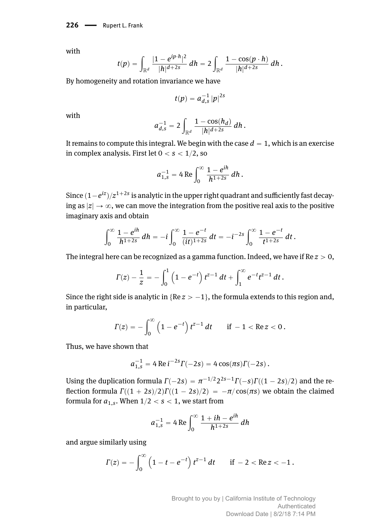226 - Rupert L. Frank

with

$$
t(p) = \int_{\mathbb{R}^d} \frac{|1 - e^{ip \cdot h}|^2}{|h|^{d+2s}} \, dh = 2 \int_{\mathbb{R}^d} \frac{1 - \cos(p \cdot h)}{|h|^{d+2s}} \, dh.
$$

By homogeneity and rotation invariance we have

$$
t(p)=a_{d,s}^{-1}\,|p|^{2s}
$$

with

$$
a_{d,s}^{-1} = 2 \int_{\mathbb{R}^d} \frac{1 - \cos(h_d)}{|h|^{d+2s}}\,dh\,.
$$

It remains to compute this integral. We begin with the case  $d = 1$ , which is an exercise in complex analysis. First let  $0 < s < 1/2$ , so

$$
a_{1,s}^{-1} = 4 \operatorname{Re} \int_0^\infty \frac{1 - e^{ih}}{h^{1+2s}} dh.
$$

Since  $(1-e^{{\rm i}z})/{z^{1+2s}}$  is analytic in the upper right quadrant and sufficiently fast decaying as  $|z| \to \infty$ , we can move the integration from the positive real axis to the positive imaginary axis and obtain

$$
\int_0^\infty \frac{1-e^{ih}}{h^{1+2s}}\,dh=-i\int_0^\infty \frac{1-e^{-t}}{(it)^{1+2s}}\,dt=-i^{-2s}\int_0^\infty \frac{1-e^{-t}}{t^{1+2s}}\,dt.
$$

The integral here can be recognized as a gamma function. Indeed, we have if  $Re z > 0$ ,

$$
\Gamma(z) - \frac{1}{z} = - \int_0^1 \left(1 - e^{-t}\right) t^{z-1} dt + \int_1^\infty e^{-t} t^{z-1} dt.
$$

Since the right side is analytic in  $\{Re \, z > -1\}$ , the formula extends to this region and, in particular,

$$
\Gamma(z) = -\int_0^\infty \left(1 - e^{-t}\right) t^{z-1} dt \quad \text{if } -1 < \text{Re}\, z < 0 \,.
$$

Thus, we have shown that

$$
a_{1,s}^{-1} = 4 \operatorname{Re} i^{-2s} \Gamma(-2s) = 4 \cos(\pi s) \Gamma(-2s) .
$$

Using the duplication formula  $\Gamma(-2s) = \pi^{-1/2} 2^{2s-1} \Gamma(-s) \Gamma((1-2s)/2)$  and the reflection formula  $\Gamma((1 + 2s)/2)\Gamma((1 - 2s)/2) = -\pi/\cos(\pi s)$  we obtain the claimed formula for  $a_{1,s}$ . When  $1/2 < s < 1$ , we start from

$$
a_{1,s}^{-1} = 4 \operatorname{Re} \int_0^\infty \frac{1 + ih - e^{ih}}{h^{1+2s}} dh
$$

and argue similarly using

$$
\Gamma(z) = -\int_0^\infty \left(1 - t - e^{-t}\right) t^{z-1} dt \quad \text{if } -2 < \text{Re}\, z < -1.
$$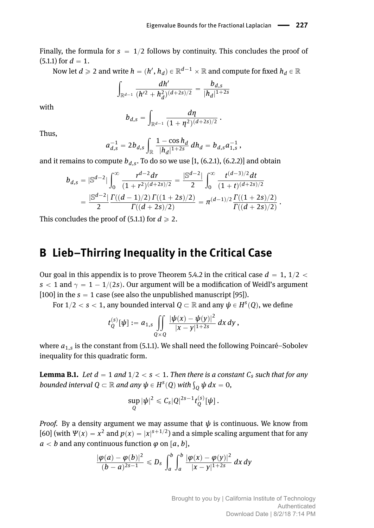Finally, the formula for  $s = 1/2$  follows by continuity. This concludes the proof of  $(5.1.1)$  for  $d = 1$ .

Now let  $d\geqslant 2$  and write  $h=(h',h_d)\in \mathbb{R}^{d-1}\times \mathbb{R}$  and compute for fixed  $h_d\in \mathbb{R}$ 

$$
\int_{\mathbb{R}^{d-1}} \frac{dh'}{(h'^2 + h_d^2)^{(d+2s)/2}} = \frac{b_{d,s}}{|h_d|^{1+2s}}
$$

with

$$
b_{d,s} = \int_{\mathbb{R}^{d-1}} \frac{d\eta}{(1+\eta^2)^{(d+2s)/2}}.
$$

Thus,

$$
a_{d,s}^{-1} = 2b_{d,s} \int_{\mathbb{R}} \frac{1 - \cos h_d}{|h_d|^{1+2s}} \, dh_d = b_{d,s} a_{1,s}^{-1} \,,
$$

and it remains to compute  $b_{d,s}$ . To do so we use [\[1,](#page-20-13) (6.2.1), (6.2.2)] and obtain

$$
b_{d,s} = |\mathbb{S}^{d-2}| \int_0^\infty \frac{r^{d-2} dr}{(1+r^2)^{(d+2s)/2}} = \frac{|\mathbb{S}^{d-2}|}{2} \int_0^\infty \frac{t^{(d-3)/2} dt}{(1+t)^{(d+2s)/2}} = \frac{|\mathbb{S}^{d-2}|}{2} \frac{\Gamma((d-1)/2) \Gamma((1+2s)/2)}{\Gamma((d+2s)/2)} = \pi^{(d-1)/2} \frac{\Gamma((1+2s)/2)}{\Gamma((d+2s)/2)}.
$$

This concludes the proof of  $(5.1.1)$  for  $d \ge 2$ .

## **B Lieb–Thirring Inequality in the Critical Case**

Our goal in this appendix is to prove Theorem [5.4.2](#page-12-0) in the critical case  $d = 1, 1/2 <$  $s < 1$  and  $\gamma = 1 - 1/(2s)$ . Our argument will be a modification of Weidl's argument [\[100\]](#page-25-12) in the  $s = 1$  case (see also the unpublished manuscript [\[95\]](#page-25-13)).

For  $1/2 < s < 1$ , any bounded interval  $Q \subset \mathbb{R}$  and any  $\psi \in H^s(Q)$ , we define

$$
t_Q^{(s)}[\psi] := a_{1,s} \iint\limits_{Q\times Q} \frac{|\psi(x) - \psi(y)|^2}{|x-y|^{1+2s}}\,dx\,dy\,,
$$

where *a*1,*<sup>s</sup>* is the constant from [\(5.1.1\)](#page-1-0). We shall need the following Poincaré–Sobolev inequality for this quadratic form.

<span id="page-17-0"></span>**Lemma B.1.** Let  $d = 1$  and  $1/2 < s < 1$ . Then there is a constant  $C_s$  such that for any *bounded interval*  $Q \subset \mathbb{R}$  *and any*  $\psi \in H^s(Q)$  *with*  $\int_Q \psi dx = 0$ *,* 

$$
\sup_Q |\psi|^2 \leqslant C_s |Q|^{2s-1} t_Q^{(s)}[\psi].
$$

*Proof.* By a density argument we may assume that  $\psi$  is continuous. We know from [\[60\]](#page-23-16) (with  $\Psi(x) = x^2$  and  $p(x) = |x|^{s+1/2}$ ) and a simple scaling argument that for any  $a < b$  and any continuous function  $\varphi$  on  $[a, b]$ ,

$$
\frac{|\varphi(a)-\varphi(b)|^2}{(b-a)^{2s-1}}\leq D_s\,\int_a^b\int_a^b\frac{|\varphi(x)-\varphi(y)|^2}{|x-y|^{1+2s}}\,dx\,dy
$$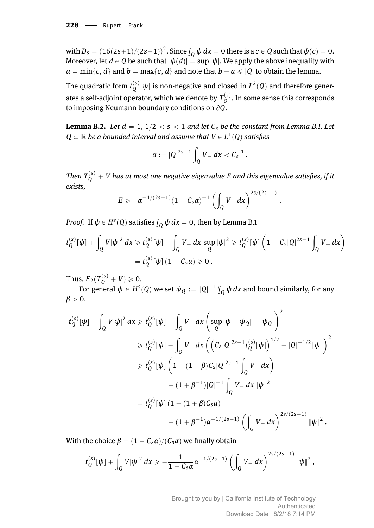$\text{with } D_s = (16(2s+1)/(2s-1))^2. \text{ Since } \int_Q \psi \, dx = 0 \text{ there is a } c \in Q \text{ such that } \psi(c) = 0.$ Moreover, let  $d \in Q$  be such that  $|\psi(d)| = \sup |\psi|$ . We apply the above inequality with  $a = \min\{c, d\}$  and  $b = \max\{c, d\}$  and note that  $b - a \leq |0|$  to obtain the lemma.  $\square$ The quadratic form  $t_Q^{(s)}[\psi]$  is non-negative and closed in  $L^2(Q)$  and therefore generates a self-adjoint operator, which we denote by  $T_Q^{(s)}$  . In some sense this corresponds to imposing Neumann boundary conditions on  $\partial Q$ .

<span id="page-18-0"></span>**Lemma B.2.** *Let*  $d = 1, 1/2 < s < 1$  *and let*  $C_s$  *be the constant from Lemma [B.1.](#page-17-0) Let*  $Q\subset \mathbb{R}$  *be a bounded interval and assume that*  $V\in L^1(Q)$  *satisfies* 

$$
\alpha := |Q|^{2s-1} \int_Q V_- \, dx < C_s^{-1} \, .
$$

 $\delta T$  *Then*  $T_Q^{(s)} + V$  *has at most one negative eigenvalue E and this eigenvalue satisfies, if it exists,*  $\mathcal{L}^{\mathcal{L}}$ 

.

$$
E \geq -\alpha^{-1/(2s-1)}(1-C_s\alpha)^{-1}\left(\int_Q V - dx\right)^{2s/(2s-1)}
$$

*Proof.* If  $\psi \in H^s(Q)$  satisfies  $\int_Q \psi \, dx = 0$ , then by Lemma [B.1](#page-17-0)

$$
t_Q^{(s)}[\psi] + \int_Q V |\psi|^2 dx \geq t_Q^{(s)}[\psi] - \int_Q V_- dx \sup_Q |\psi|^2 \geq t_Q^{(s)}[\psi] \left(1 - C_s |Q|^{2s-1} \int_Q V_- dx\right)
$$
  
=  $t_Q^{(s)}[\psi] (1 - C_s \alpha) \geq 0.$ 

Thus,  $E_2(T_Q^{(s)} + V) \ge 0$ .

**F**or general  $ψ ∈ H<sup>s</sup>(Q)$  we set  $ψ_Q := |Q|^{-1} \int_Q ψ dx$  and bound similarly, for any  $\beta > 0$ ,

$$
t_{Q}^{(s)}[\psi] + \int_{Q} V|\psi|^{2} dx \geq t_{Q}^{(s)}[\psi] - \int_{Q} V_{-} dx \left( \sup_{Q} |\psi - \psi_{Q}| + |\psi_{Q}| \right)^{2}
$$
  
\n
$$
\geq t_{Q}^{(s)}[\psi] - \int_{Q} V_{-} dx \left( \left( C_{s} |Q|^{2s-1} t_{Q}^{(s)}[\psi] \right)^{1/2} + |Q|^{-1/2} \|\psi\| \right)^{2}
$$
  
\n
$$
\geq t_{Q}^{(s)}[\psi] \left( 1 - (1 + \beta) C_{s} |Q|^{2s-1} \int_{Q} V_{-} dx \right)
$$
  
\n
$$
- (1 + \beta^{-1}) |Q|^{-1} \int_{Q} V_{-} dx \|\psi\|^{2}
$$
  
\n
$$
= t_{Q}^{(s)}[\psi] (1 - (1 + \beta) C_{s} \alpha)
$$
  
\n
$$
- (1 + \beta^{-1}) \alpha^{-1/(2s-1)} \left( \int_{Q} V_{-} dx \right)^{2s/(2s-1)} \|\psi\|^{2}.
$$

With the choice  $\beta = (1 - C_s \alpha)/(C_s \alpha)$  we finally obtain

$$
t_Q^{(s)}[\psi] + \int_Q V |\psi|^2 \, dx \geq -\frac{1}{1 - C_s \alpha} \alpha^{-1/(2s-1)} \left( \int_Q V_- \, dx \right)^{2s/(2s-1)} \|\psi\|^2 \,,
$$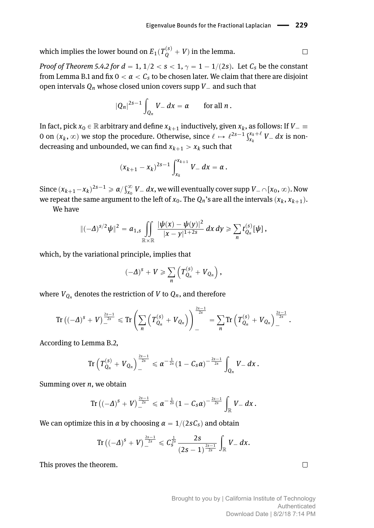which implies the lower bound on  $E_1(T_Q^{(s)}+V)$  in the lemma.

*Proof of Theorem [5.4.2](#page-12-0) for*  $d = 1, 1/2 < s < 1, \gamma = 1 - 1/(2s)$ . Let  $C_s$  be the constant from Lemma [B.1](#page-17-0) and fix  $0 < \alpha < C_s$  to be chosen later. We claim that there are disjoint open intervals  $Q_n$  whose closed union covers supp  $V_-\,$  and such that

$$
|Q_n|^{2s-1}\int_{Q_n}V_-dx=\alpha\qquad\text{for all }n\,.
$$

In fact, pick  $x_0 \in \mathbb{R}$  arbitrary and define  $x_{k+1}$  inductively, given  $x_k$ , as follows: If  $V_- \equiv$ on  $(x_k, \infty)$  we stop the procedure. Otherwise, since  $\ell \mapsto \ell^{2s-1} \frac{S^{x_k+\ell}}{S^{x_k+\ell}}$  $\int_{x_k}^{x_k+\ell} V$ <sub>-</sub> dx is nondecreasing and unbounded, we can find  $x_{k+1} > x_k$  such that

$$
(x_{k+1}-x_k)^{2s-1}\int_{x_k}^{x_{k+1}}V_- dx = \alpha.
$$

 $\text{Since } (x_{k+1}-x_k)^{2s-1} \geqslant \alpha / \int_{x_0}^{\infty} V_{-}\ dx,$  we will eventually cover supp  $V_{-} \cap [x_0,\infty).$  Now we repeat the same argument to the left of  $x_0$ . The  $Q_n$ 's are all the intervals  $(x_k, x_{k+1})$ .

We have

$$
\|(-\Delta)^{s/2}\psi\|^2=a_{1,s}\iint\limits_{\mathbb{R}\times\mathbb{R}}\frac{|\psi(x)-\psi(y)|^2}{|x-y|^{1+2s}}\,dx\,dy\geqslant \sum_n t_{Q_n}^{(s)}[\psi]\,,
$$

which, by the variational principle, implies that

$$
(-\Delta)^s + V \geqslant \sum_n \left( T_{Q_n}^{(s)} + V_{Q_n} \right),
$$

where  $V_{Q_n}$  denotes the restriction of  $V$  to  $Q_n$ , and therefore

$$
\text{Tr} \left( (-\varDelta)^S + V \right)^{\frac{2s-1}{2s}}_{-} \leq \text{Tr} \left( \sum_n \left( T_{Q_n}^{(S)} + V_{Q_n} \right) \right)^{\frac{2s-1}{2s}}_{-} = \sum_n \text{Tr} \left( T_{Q_n}^{(S)} + V_{Q_n} \right)^{\frac{2s-1}{2s}}_{-}.
$$

According to Lemma [B.2,](#page-18-0)

$$
\text{Tr}\left(T_{Q_n}^{(s)}+V_{Q_n}\right)^{\frac{2s-1}{2s}}\leqslant \alpha^{-\frac{1}{2s}}(1-C_s\alpha)^{-\frac{2s-1}{2s}}\int_{Q_n}V-dx\,.
$$

Summing over *n*, we obtain

$$
\text{Tr} \left( (-\varDelta)^S + V \right)^{\frac{2s-1}{2s}} \leq \alpha^{-\frac{1}{2s}} (1 - C_s \alpha)^{-\frac{2s-1}{2s}} \int_{\mathbb{R}} V \, dx \, .
$$

We can optimize this in *α* by choosing  $\alpha = 1/(2sC_s)$  and obtain

$$
\text{Tr}\left(\left(-\varDelta\right)^{s}+V\right)_{-}^{\frac{2s-1}{2s}}\leqslant C_{S}^{\frac{1}{2s}}\frac{2s}{\left(2s-1\right)^{\frac{2s-1}{2s}}}\int_{\mathbb{R}}V-dx.
$$

This proves the theorem.

 $\Box$ 

 $\Box$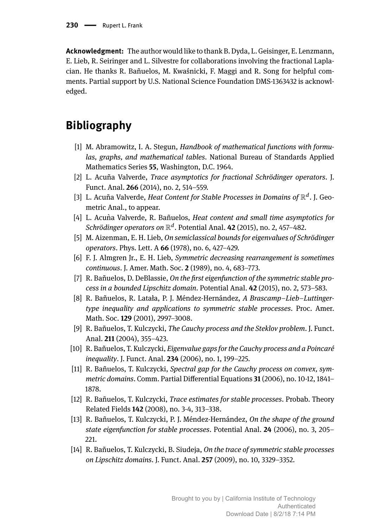**Acknowledgment:** The author would like to thank B. Dyda, L. Geisinger, E. Lenzmann, E. Lieb, R. Seiringer and L. Silvestre for collaborations involving the fractional Laplacian. He thanks R. Bañuelos, M. Kwaśnicki, F. Maggi and R. Song for helpful comments. Partial support by U.S. National Science Foundation DMS-1363432 is acknowledged.

## **Bibliography**

- <span id="page-20-13"></span>[1] M. Abramowitz, I. A. Stegun, *Handbook of mathematical functions with formulas, graphs, and mathematical tables*. National Bureau of Standards Applied Mathematics Series **55**, Washington, D.C. 1964.
- <span id="page-20-10"></span>[2] L. Acuña Valverde, *Trace asymptotics for fractional Schrödinger operators*. J. Funct. Anal. **266** (2014), no. 2, 514–559.
- <span id="page-20-11"></span>[3] L. Acuña Valverde, *Heat Content for Stable Processes in Domains of*  $\mathbb{R}^d$ . J. Geometric Anal., to appear.
- <span id="page-20-12"></span>[4] L. Acuna Valverde, R. Bañuelos, ` *Heat content and small time asymptotics for*  $Schrödinger operators on  $\mathbb{R}^d$ . Potential Anal. **42** (2015), no. 2, 457–482.$
- <span id="page-20-5"></span>[5] M. Aizenman, E. H. Lieb, *On semiclassical bounds for eigenvalues of Schrödinger operators*. Phys. Lett. A **66** (1978), no. 6, 427–429.
- <span id="page-20-0"></span>[6] F. J. Almgren Jr., E. H. Lieb, *Symmetric decreasing rearrangement is sometimes continuous*. J. Amer. Math. Soc. **2** (1989), no. 4, 683–773.
- <span id="page-20-7"></span>[7] R. Bañuelos, D. DeBlassie, *On the first eigenfunction of the symmetric stable process in a bounded Lipschitz domain*. Potential Anal. **42** (2015), no. 2, 573–583.
- <span id="page-20-1"></span>[8] R. Bañuelos, R. Latała, P. J. Méndez-Hernández, *A Brascamp–Lieb–Luttingertype inequality and applications to symmetric stable processes*. Proc. Amer. Math. Soc. **129** (2001), 2997–3008.
- <span id="page-20-2"></span>[9] R. Bañuelos, T. Kulczycki, *The Cauchy process and the Steklov problem*. J. Funct. Anal. **211** (2004), 355–423.
- <span id="page-20-8"></span>[10] R. Bañuelos, T. Kulczycki, *Eigenvalue gaps for the Cauchy process and a Poincaré inequality*. J. Funct. Anal. **234** (2006), no. 1, 199–225.
- <span id="page-20-9"></span>[11] R. Bañuelos, T. Kulczycki, *Spectral gap for the Cauchy process on convex, symmetric domains*. Comm. Partial Differential Equations **31** (2006), no. 10-12, 1841– 1878.
- <span id="page-20-3"></span>[12] R. Bañuelos, T. Kulczycki, *Trace estimates for stable processes*. Probab. Theory Related Fields **142** (2008), no. 3-4, 313–338.
- <span id="page-20-6"></span>[13] R. Bañuelos, T. Kulczycki, P. J. Méndez-Hernández, *On the shape of the ground state eigenfunction for stable processes*. Potential Anal. **24** (2006), no. 3, 205– 221.
- <span id="page-20-4"></span>[14] R. Bañuelos, T. Kulczycki, B. Siudeja, *On the trace of symmetric stable processes on Lipschitz domains*. J. Funct. Anal. **257** (2009), no. 10, 3329–3352.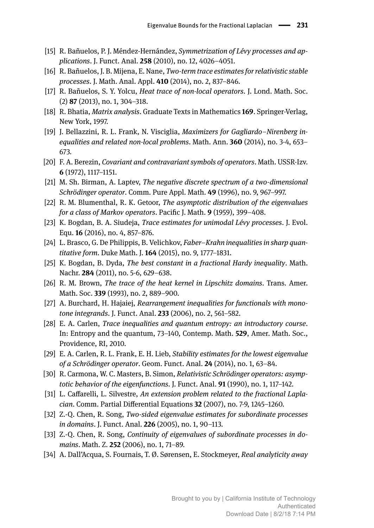- <span id="page-21-3"></span>[15] R. Bañuelos, P. J. Méndez-Hernández, *Symmetrization of Lévy processes and applications*. J. Funct. Anal. **258** (2010), no. 12, 4026–4051.
- <span id="page-21-13"></span>[16] R. Bañuelos, J. B. Mijena, E. Nane, *Two-term trace estimates for relativistic stable processes*. J. Math. Anal. Appl. **410** (2014), no. 2, 837–846.
- <span id="page-21-19"></span>[17] R. Bañuelos, S. Y. Yolcu, *Heat trace of non-local operators*. J. Lond. Math. Soc. (2) **87** (2013), no. 1, 304–318.
- <span id="page-21-10"></span>[18] R. Bhatia, *Matrix analysis*. Graduate Texts in Mathematics **169**. Springer-Verlag, New York, 1997.
- <span id="page-21-6"></span>[19] J. Bellazzini, R. L. Frank, N. Visciglia, *Maximizers for Gagliardo–Nirenberg inequalities and related non-local problems*. Math. Ann. **360** (2014), no. 3-4, 653– 673.
- <span id="page-21-16"></span>[20] F. A. Berezin, *Covariant and contravariant symbols of operators*. Math. USSR-Izv. **6** (1972), 1117–1151.
- <span id="page-21-15"></span>[21] M. Sh. Birman, A. Laptev, *The negative discrete spectrum of a two-dimensional Schrödinger operator*. Comm. Pure Appl. Math. **49** (1996), no. 9, 967–997.
- <span id="page-21-11"></span>[22] R. M. Blumenthal, R. K. Getoor, *The asymptotic distribution of the eigenvalues for a class of Markov operators*. Pacific J. Math. **9** (1959), 399–408.
- <span id="page-21-14"></span>[23] K. Bogdan, B. A. Siudeja, *Trace estimates for unimodal Lévy processes*. J. Evol. Equ. **16** (2016), no. 4, 857–876.
- <span id="page-21-4"></span>[24] L. Brasco, G. De Philippis, B. Velichkov, *Faber–Krahn inequalities in sharp quantitative form*. Duke Math. J. **164** (2015), no. 9, 1777–1831.
- <span id="page-21-17"></span>[25] K. Bogdan, B. Dyda, *The best constant in a fractional Hardy inequality*. Math. Nachr. **284** (2011), no. 5-6, 629–638.
- <span id="page-21-12"></span>[26] R. M. Brown, *The trace of the heat kernel in Lipschitz domains*. Trans. Amer. Math. Soc. **339** (1993), no. 2, 889–900.
- <span id="page-21-2"></span>[27] A. Burchard, H. Hajaiej, *Rearrangement inequalities for functionals with monotone integrands*. J. Funct. Anal. **233** (2006), no. 2, 561–582.
- <span id="page-21-9"></span>[28] E. A. Carlen, *Trace inequalities and quantum entropy: an introductory course*. In: Entropy and the quantum, 73–140, Contemp. Math. **529**, Amer. Math. Soc., Providence, RI, 2010.
- <span id="page-21-5"></span>[29] E. A. Carlen, R. L. Frank, E. H. Lieb, *Stability estimates for the lowest eigenvalue of a Schrödinger operator*. Geom. Funct. Anal. **24** (2014), no. 1, 63–84.
- <span id="page-21-0"></span>[30] R. Carmona, W. C. Masters, B. Simon, *Relativistic Schrödinger operators: asymptotic behavior of the eigenfunctions*. J. Funct. Anal. **91** (1990), no. 1, 117–142.
- <span id="page-21-8"></span>[31] L. Caffarelli, L. Silvestre, *An extension problem related to the fractional Laplacian*. Comm. Partial Differential Equations **32** (2007), no. 7-9, 1245–1260.
- <span id="page-21-1"></span>[32] Z.-Q. Chen, R. Song, *Two-sided eigenvalue estimates for subordinate processes in domains*. J. Funct. Anal. **226** (2005), no. 1, 90–113.
- <span id="page-21-7"></span>[33] Z.-Q. Chen, R. Song, *Continuity of eigenvalues of subordinate processes in domains*. Math. Z. **252** (2006), no. 1, 71–89.
- <span id="page-21-18"></span>[34] A. Dall'Acqua, S. Fournais, T. Ø. Sørensen, E. Stockmeyer, *Real analyticity away*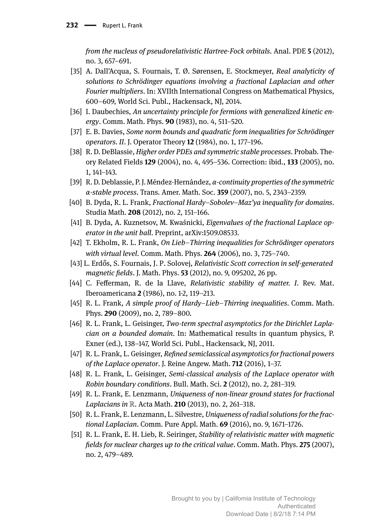*from the nucleus of pseudorelativistic Hartree-Fock orbitals*. Anal. PDE **5** (2012), no. 3, 657–691.

- <span id="page-22-15"></span>[35] A. Dall'Acqua, S. Fournais, T. Ø. Sørensen, E. Stockmeyer, *Real analyticity of solutions to Schrödinger equations involving a fractional Laplacian and other Fourier multipliers*. In: XVIIth International Congress on Mathematical Physics, 600–609, World Sci. Publ., Hackensack, NJ, 2014.
- <span id="page-22-0"></span>[36] I. Daubechies, An uncertainty principle for fermions with generalized kinetic en*ergy*. Comm. Math. Phys. **90** (1983), no. 4, 511–520.
- <span id="page-22-12"></span>[37] E. B. Davies, *Some norm bounds and quadratic form inequalities for Schrödinger operators. II*. J. Operator Theory **12** (1984), no. 1, 177–196.
- <span id="page-22-5"></span>[38] R. D. DeBlassie, *Higher order PDEs and symmetric stable processes*. Probab. Theory Related Fields **129** (2004), no. 4, 495–536. Correction: ibid., **133** (2005), no. 1, 141–143.
- <span id="page-22-4"></span>[39] R. D. Deblassie, P. J. Méndez-Hernández, *α-continuity properties of the symmetric α-stable process*. Trans. Amer. Math. Soc. **359** (2007), no. 5, 2343–2359.
- <span id="page-22-13"></span>[40] B. Dyda, R. L. Frank, *Fractional Hardy–Sobolev–Maz'ya inequality for domains*. Studia Math. **208** (2012), no. 2, 151–166.
- <span id="page-22-14"></span>[41] B. Dyda, A. Kuznetsov, M. Kwaśnicki, *Eigenvalues of the fractional Laplace operator in the unit ball*. Preprint, arXiv:1509.08533.
- <span id="page-22-9"></span>[42] T. Ekholm, R. L. Frank, *On Lieb–Thirring inequalities for Schrödinger operators with virtual level*. Comm. Math. Phys. **264** (2006), no. 3, 725–740.
- <span id="page-22-16"></span>[43] L. Erdős, S. Fournais, J. P. Solovej, *Relativistic Scott correction in self-generated magnetic fields*. J. Math. Phys. **53** (2012), no. 9, 095202, 26 pp.
- <span id="page-22-1"></span>[44] C. Fefferman, R. de la Llave, *Relativistic stability of matter. I*. Rev. Mat. Iberoamericana **2** (1986), no. 1-2, 119–213.
- <span id="page-22-10"></span>[45] R. L. Frank, *A simple proof of Hardy–Lieb–Thirring inequalities*. Comm. Math. Phys. **290** (2009), no. 2, 789–800.
- <span id="page-22-8"></span>[46] R. L. Frank, L. Geisinger, *Two-term spectral asymptotics for the Dirichlet Laplacian on a bounded domain*. In: Mathematical results in quantum physics, P. Exner (ed.), 138–147, World Sci. Publ., Hackensack, NJ, 2011.
- <span id="page-22-6"></span>[47] R. L. Frank, L. Geisinger, *Refined semiclassical asymptotics for fractional powers of the Laplace operator*. J. Reine Angew. Math. **712** (2016), 1–37.
- <span id="page-22-7"></span>[48] R. L. Frank, L. Geisinger, *Semi-classical analysis of the Laplace operator with Robin boundary conditions*. Bull. Math. Sci. **2** (2012), no. 2, 281–319.
- <span id="page-22-2"></span>[49] R. L. Frank, E. Lenzmann, *Uniqueness of non-linear ground states for fractional Laplacians in* R. Acta Math. **210** (2013), no. 2, 261–318.
- <span id="page-22-3"></span>[50] R. L. Frank, E. Lenzmann, L. Silvestre, *Uniqueness of radial solutions for the fractional Laplacian*. Comm. Pure Appl. Math. **69** (2016), no. 9, 1671–1726.
- <span id="page-22-11"></span>[51] R. L. Frank, E. H. Lieb, R. Seiringer, *Stability of relativistic matter with magnetic fields for nuclear charges up to the critical value*. Comm. Math. Phys. **275** (2007), no. 2, 479–489.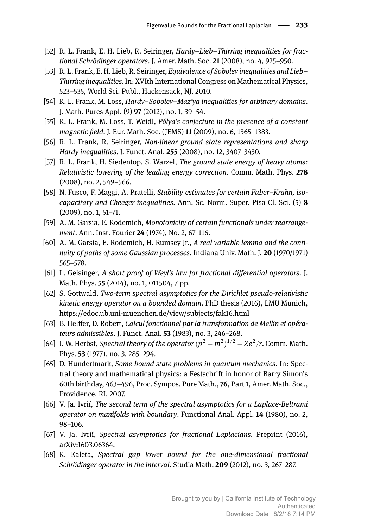- <span id="page-23-11"></span>[52] R. L. Frank, E. H. Lieb, R. Seiringer, *Hardy–Lieb–Thirring inequalities for fractional Schrödinger operators*. J. Amer. Math. Soc. **21** (2008), no. 4, 925–950.
- <span id="page-23-12"></span>[53] R. L. Frank, E. H. Lieb, R. Seiringer, *Equivalence of Sobolev inequalities and Lieb– Thirring inequalities*. In: XVIth International Congress on Mathematical Physics, 523–535, World Sci. Publ., Hackensack, NJ, 2010.
- <span id="page-23-13"></span>[54] R. L. Frank, M. Loss, *Hardy–Sobolev–Maz'ya inequalities for arbitrary domains*. J. Math. Pures Appl. (9) **97** (2012), no. 1, 39–54.
- <span id="page-23-9"></span>[55] R. L. Frank, M. Loss, T. Weidl, *Pólya's conjecture in the presence of a constant magnetic field*. J. Eur. Math. Soc. (JEMS) **11** (2009), no. 6, 1365–1383.
- <span id="page-23-1"></span>[56] R. L. Frank, R. Seiringer, *Non-linear ground state representations and sharp Hardy inequalities*. J. Funct. Anal. **255** (2008), no. 12, 3407–3430.
- <span id="page-23-15"></span>[57] R. L. Frank, H. Siedentop, S. Warzel, *The ground state energy of heavy atoms: Relativistic lowering of the leading energy correction*. Comm. Math. Phys. **278** (2008), no. 2, 549–566.
- <span id="page-23-3"></span>[58] N. Fusco, F. Maggi, A. Pratelli, *Stability estimates for certain Faber–Krahn, isocapacitary and Cheeger inequalities*. Ann. Sc. Norm. Super. Pisa Cl. Sci. (5) **8** (2009), no. 1, 51–71.
- <span id="page-23-2"></span>[59] A. M. Garsia, E. Rodemich, *Monotonicity of certain functionals under rearrangement*. Ann. Inst. Fourier **24** (1974), No. 2, 67–116.
- <span id="page-23-16"></span>[60] A. M. Garsia, E. Rodemich, H. Rumsey Jr., *A real variable lemma and the continuity of paths of some Gaussian processes*. Indiana Univ. Math. J. **20** (1970/1971) 565–578.
- <span id="page-23-4"></span>[61] L. Geisinger, *A short proof of Weyl's law for fractional differential operators*. J. Math. Phys. **55** (2014), no. 1, 011504, 7 pp.
- <span id="page-23-7"></span>[62] S. Gottwald, *Two-term spectral asymptotics for the Dirichlet pseudo-relativistic kinetic energy operator on a bounded domain*. PhD thesis (2016), LMU Munich, https://edoc.ub.uni-muenchen.de/view/subjects/fak16.html
- <span id="page-23-8"></span>[63] B. Helffer, D. Robert, *Calcul fonctionnel par la transformation de Mellin et opérateurs admissibles*. J. Funct. Anal. **53** (1983), no. 3, 246–268.
- <span id="page-23-0"></span>[64] I. W. Herbst, *Spectral theory of the operator*  $(p^2 + m^2)^{1/2} - Ze^2/r$ . Comm. Math. Phys. **53** (1977), no. 3, 285–294.
- <span id="page-23-10"></span>[65] D. Hundertmark, *Some bound state problems in quantum mechanics*. In: Spectral theory and mathematical physics: a Festschrift in honor of Barry Simon's 60th birthday, 463–496, Proc. Sympos. Pure Math., **76**, Part 1, Amer. Math. Soc., Providence, RI, 2007.
- <span id="page-23-5"></span>[66] V. Ja. Ivrii, *The second term of the spectral asymptotics for a Laplace-Beltrami operator on manifolds with boundary*. Functional Anal. Appl. **14** (1980), no. 2, 98–106.
- <span id="page-23-6"></span>[67] V. Ja. Ivrii, *Spectral asymptotics for fractional Laplacians*. Preprint (2016), arXiv:1603.06364.
- <span id="page-23-14"></span>[68] K. Kaleta, *Spectral gap lower bound for the one-dimensional fractional Schrödinger operator in the interval*. Studia Math. **209** (2012), no. 3, 267–287.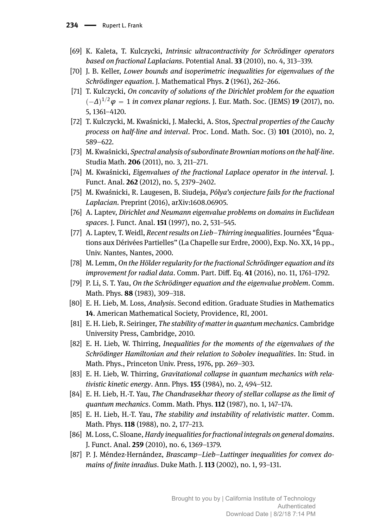- <span id="page-24-16"></span>[69] K. Kaleta, T. Kulczycki, *Intrinsic ultracontractivity for Schrödinger operators based on fractional Laplacians*. Potential Anal. **33** (2010), no. 4, 313–339.
- <span id="page-24-5"></span>[70] J. B. Keller, *Lower bounds and isoperimetric inequalities for eigenvalues of the Schrödinger equation*. J. Mathematical Phys. **2** (1961), 262–266.
- <span id="page-24-17"></span>[71] T. Kulczycki, *On concavity of solutions of the Dirichlet problem for the equation*  $(-\Delta)^{1/2} \varphi = 1$  *in convex planar regions.* J. Eur. Math. Soc. (JEMS) **19** (2017), no. 5, 1361–4120.
- <span id="page-24-9"></span>[72] T. Kulczycki, M. Kwaśnicki, J. Małecki, A. Stos, *Spectral properties of the Cauchy process on half-line and interval*. Proc. Lond. Math. Soc. (3) **101** (2010), no. 2, 589–622.
- <span id="page-24-10"></span>[73] M. Kwaśnicki, *Spectral analysis of subordinate Brownian motions on the half-line*. Studia Math. **206** (2011), no. 3, 211–271.
- <span id="page-24-8"></span>[74] M. Kwaśnicki, *Eigenvalues of the fractional Laplace operator in the interval*. J. Funct. Anal. **262** (2012), no. 5, 2379–2402.
- <span id="page-24-7"></span>[75] M. Kwaśnicki, R. Laugesen, B. Siudeja, *Pólya's conjecture fails for the fractional Laplacian*. Preprint (2016), arXiv:1608.06905.
- <span id="page-24-12"></span>[76] A. Laptev, *Dirichlet and Neumann eigenvalue problems on domains in Euclidean spaces*. J. Funct. Anal. **151** (1997), no. 2, 531–545.
- <span id="page-24-14"></span>[77] A. Laptev, T. Weidl, *Recent results on Lieb–Thirring inequalities*. Journées "Équations aux Dérivées Partielles" (La Chapelle sur Erdre, 2000), Exp. No. XX, 14 pp., Univ. Nantes, Nantes, 2000.
- <span id="page-24-18"></span>[78] M. Lemm, *On the Hölder regularity for the fractional Schrödinger equation and its improvement for radial data*. Comm. Part. Diff. Eq. **41** (2016), no. 11, 1761–1792.
- <span id="page-24-11"></span>[79] P. Li, S. T. Yau, *On the Schrödinger equation and the eigenvalue problem*. Comm. Math. Phys. **88** (1983), 309–318.
- <span id="page-24-3"></span>[80] E. H. Lieb, M. Loss, *Analysis*. Second edition. Graduate Studies in Mathematics **14**. American Mathematical Society, Providence, RI, 2001.
- <span id="page-24-13"></span>[81] E. H. Lieb, R. Seiringer, *The stability of matter in quantum mechanics*. Cambridge University Press, Cambridge, 2010.
- <span id="page-24-6"></span>[82] E. H. Lieb, W. Thirring, *Inequalities for the moments of the eigenvalues of the Schrödinger Hamiltonian and their relation to Sobolev inequalities*. In: Stud. in Math. Phys., Princeton Univ. Press, 1976, pp. 269–303.
- <span id="page-24-0"></span>[83] E. H. Lieb, W. Thirring, *Gravitational collapse in quantum mechanics with relativistic kinetic energy*. Ann. Phys. **155** (1984), no. 2, 494–512.
- <span id="page-24-1"></span>[84] E. H. Lieb, H.-T. Yau, *The Chandrasekhar theory of stellar collapse as the limit of quantum mechanics*. Comm. Math. Phys. **112** (1987), no. 1, 147–174.
- <span id="page-24-2"></span>[85] E. H. Lieb, H.-T. Yau, *The stability and instability of relativistic matter*. Comm. Math. Phys. **118** (1988), no. 2, 177–213.
- <span id="page-24-15"></span>[86] M. Loss, C. Sloane,*Hardy inequalities for fractional integrals on general domains*. J. Funct. Anal. **259** (2010), no. 6, 1369–1379.
- <span id="page-24-4"></span>[87] P. J. Méndez-Hernández, *Brascamp–Lieb–Luttinger inequalities for convex domains of finite inradius*. Duke Math. J. **113** (2002), no. 1, 93–131.